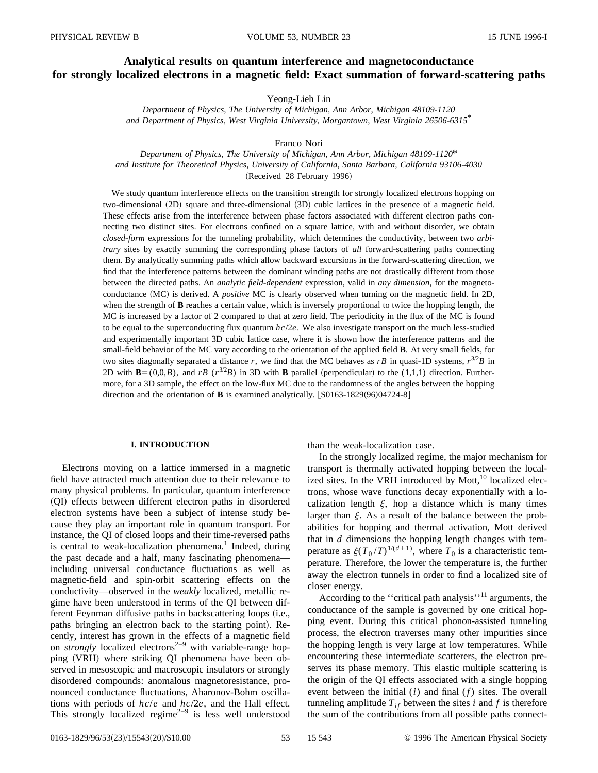# **Analytical results on quantum interference and magnetoconductance for strongly localized electrons in a magnetic field: Exact summation of forward-scattering paths**

Yeong-Lieh Lin

*Department of Physics, The University of Michigan, Ann Arbor, Michigan 48109-1120 and Department of Physics, West Virginia University, Morgantown, West Virginia 26506-6315*\*

Franco Nori

*Department of Physics, The University of Michigan, Ann Arbor, Michigan 48109-1120*\* *and Institute for Theoretical Physics, University of California, Santa Barbara, California 93106-4030* (Received 28 February 1996)

We study quantum interference effects on the transition strength for strongly localized electrons hopping on two-dimensional (2D) square and three-dimensional (3D) cubic lattices in the presence of a magnetic field. These effects arise from the interference between phase factors associated with different electron paths connecting two distinct sites. For electrons confined on a square lattice, with and without disorder, we obtain *closed-form* expressions for the tunneling probability, which determines the conductivity, between two *arbitrary* sites by exactly summing the corresponding phase factors of *all* forward-scattering paths connecting them. By analytically summing paths which allow backward excursions in the forward-scattering direction, we find that the interference patterns between the dominant winding paths are not drastically different from those between the directed paths. An *analytic field-dependent* expression, valid in *any dimension*, for the magnetoconductance (MC) is derived. A *positive* MC is clearly observed when turning on the magnetic field. In 2D, when the strength of **B** reaches a certain value, which is inversely proportional to twice the hopping length, the MC is increased by a factor of 2 compared to that at zero field. The periodicity in the flux of the MC is found to be equal to the superconducting flux quantum *hc*/2*e*. We also investigate transport on the much less-studied and experimentally important 3D cubic lattice case, where it is shown how the interference patterns and the small-field behavior of the MC vary according to the orientation of the applied field **B**. At very small fields, for two sites diagonally separated a distance r, we find that the MC behaves as rB in quasi-1D systems,  $r^{3/2}B$  in 2D with  $\mathbf{B}=(0,0,B)$ , and *rB* ( $r^{3/2}B$ ) in 3D with **B** parallel (perpendicular) to the (1,1,1) direction. Furthermore, for a 3D sample, the effect on the low-flux MC due to the randomness of the angles between the hopping direction and the orientation of  $\bf{B}$  is examined analytically.  $\lceil \text{S}0163 \text{-} 1829(96)04724 \text{-} 8 \rceil$ 

## **I. INTRODUCTION**

Electrons moving on a lattice immersed in a magnetic field have attracted much attention due to their relevance to many physical problems. In particular, quantum interference ~QI! effects between different electron paths in disordered electron systems have been a subject of intense study because they play an important role in quantum transport. For instance, the QI of closed loops and their time-reversed paths is central to weak-localization phenomena.<sup>1</sup> Indeed, during the past decade and a half, many fascinating phenomena including universal conductance fluctuations as well as magnetic-field and spin-orbit scattering effects on the conductivity—observed in the *weakly* localized, metallic regime have been understood in terms of the QI between different Feynman diffusive paths in backscattering loops (i.e., paths bringing an electron back to the starting point). Recently, interest has grown in the effects of a magnetic field on *strongly* localized electrons<sup>2–9</sup> with variable-range hopping (VRH) where striking QI phenomena have been observed in mesoscopic and macroscopic insulators or strongly disordered compounds: anomalous magnetoresistance, pronounced conductance fluctuations, Aharonov-Bohm oscillations with periods of *hc*/*e* and *hc*/2*e*, and the Hall effect. This strongly localized regime<sup> $2-9$ </sup> is less well understood than the weak-localization case.

In the strongly localized regime, the major mechanism for transport is thermally activated hopping between the localized sites. In the VRH introduced by Mott, $^{10}$  localized electrons, whose wave functions decay exponentially with a localization length  $\xi$ , hop a distance which is many times larger than  $\xi$ . As a result of the balance between the probabilities for hopping and thermal activation, Mott derived that in *d* dimensions the hopping length changes with temperature as  $\xi(T_0/T)^{1/(d+1)}$ , where  $T_0$  is a characteristic temperature. Therefore, the lower the temperature is, the further away the electron tunnels in order to find a localized site of closer energy.

According to the "critical path analysis"<sup>11</sup> arguments, the conductance of the sample is governed by one critical hopping event. During this critical phonon-assisted tunneling process, the electron traverses many other impurities since the hopping length is very large at low temperatures. While encountering these intermediate scatterers, the electron preserves its phase memory. This elastic multiple scattering is the origin of the QI effects associated with a single hopping event between the initial (*i*) and final (*f*) sites. The overall tunneling amplitude  $T_{if}$  between the sites *i* and *f* is therefore the sum of the contributions from all possible paths connect-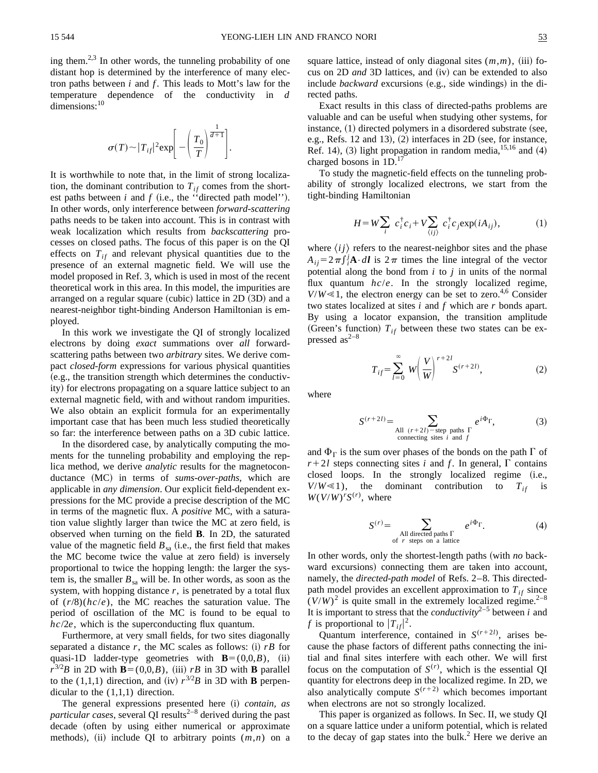$$
\sigma(T) \sim |T_{if}|^2 \exp\Biggl[-\Biggl(\frac{T_0}{T}\Biggr)^{\frac{1}{d+1}}\Biggr].
$$

It is worthwhile to note that, in the limit of strong localization, the dominant contribution to  $T_{if}$  comes from the shortest paths between  $i$  and  $f$  (i.e., the "directed path model"). In other words, only interference between *forward-scattering* paths needs to be taken into account. This is in contrast with weak localization which results from *backscattering* processes on closed paths. The focus of this paper is on the QI effects on  $T_{if}$  and relevant physical quantities due to the presence of an external magnetic field. We will use the model proposed in Ref. 3, which is used in most of the recent theoretical work in this area. In this model, the impurities are arranged on a regular square (cubic) lattice in  $2D (3D)$  and a nearest-neighbor tight-binding Anderson Hamiltonian is employed.

In this work we investigate the QI of strongly localized electrons by doing *exact* summations over *all* forwardscattering paths between two *arbitrary* sites. We derive compact *closed-form* expressions for various physical quantities  $(e.g., the transition strength which determines the conductivity$ ity) for electrons propagating on a square lattice subject to an external magnetic field, with and without random impurities. We also obtain an explicit formula for an experimentally important case that has been much less studied theoretically so far: the interference between paths on a 3D cubic lattice.

In the disordered case, by analytically computing the moments for the tunneling probability and employing the replica method, we derive *analytic* results for the magnetoconductance (MC) in terms of *sums-over-paths*, which are applicable in *any dimension*. Our explicit field-dependent expressions for the MC provide a precise description of the MC in terms of the magnetic flux. A *positive* MC, with a saturation value slightly larger than twice the MC at zero field, is observed when turning on the field **B**. In 2D, the saturated value of the magnetic field  $B_{sa}$  (i.e., the first field that makes the MC become twice the value at zero field) is inversely proportional to twice the hopping length: the larger the system is, the smaller  $B_{sa}$  will be. In other words, as soon as the system, with hopping distance  $r$ , is penetrated by a total flux of (*r*/8)(*hc*/*e*), the MC reaches the saturation value. The period of oscillation of the MC is found to be equal to *hc*/2*e*, which is the superconducting flux quantum.

Furthermore, at very small fields, for two sites diagonally separated a distance  $r$ , the MC scales as follows: (i)  $rB$  for quasi-1D ladder-type geometries with  $\mathbf{B}=(0,0,B)$ , (ii)  $r^{3/2}B$  in 2D with **B**=(0,0,*B*), (iii) *rB* in 3D with **B** parallel to the (1,1,1) direction, and (iv)  $r^{3/2}B$  in 3D with **B** perpendicular to the  $(1,1,1)$  direction.

The general expressions presented here (i) *contain, as particular cases*, several QI results<sup>2–8</sup> derived during the past decade (often by using either numerical or approximate methods), (ii) include QI to arbitrary points  $(m,n)$  on a square lattice, instead of only diagonal sites  $(m,m)$ , (iii) focus on 2D *and* 3D lattices, and (iv) can be extended to also include *backward* excursions (e.g., side windings) in the directed paths.

Exact results in this class of directed-paths problems are valuable and can be useful when studying other systems, for  $instance, (1)$  directed polymers in a disordered substrate (see, e.g., Refs. 12 and 13),  $(2)$  interfaces in 2D (see, for instance, Ref. 14), (3) light propagation in random media,<sup>15,16</sup> and (4) charged bosons in 1D.<sup>17</sup>

To study the magnetic-field effects on the tunneling probability of strongly localized electrons, we start from the tight-binding Hamiltonian

$$
H = W \sum_{i} c_{i}^{\dagger} c_{i} + V \sum_{\langle ij \rangle} c_{i}^{\dagger} c_{j} \exp(i A_{ij}), \qquad (1)
$$

where  $\langle ij \rangle$  refers to the nearest-neighbor sites and the phase  $A_{ij} = 2\pi \int_{i}^{j} A \cdot dI$  is  $2\pi$  times the line integral of the vector potential along the bond from *i* to *j* in units of the normal flux quantum *hc*/*e*. In the strongly localized regime,  $V/W \ll 1$ , the electron energy can be set to zero.<sup>4,6</sup> Consider two states localized at sites *i* and *f* which are *r* bonds apart. By using a locator expansion, the transition amplitude (Green's function)  $T_{if}$  between these two states can be expressed  $as^{2-8}$ 

$$
T_{if} = \sum_{l=0}^{\infty} W \left(\frac{V}{W}\right)^{r+2l} S^{(r+2l)},
$$
 (2)

where

$$
S^{(r+2l)} = \sum_{\substack{\text{All } (r+2l)-\text{step paths } \Gamma \\ \text{connecting sites } i \text{ and } f}} e^{i\Phi_{\Gamma}},
$$
 (3)

and  $\Phi_{\Gamma}$  is the sum over phases of the bonds on the path  $\Gamma$  of  $r+2l$  steps connecting sites *i* and *f*. In general,  $\Gamma$  contains closed loops. In the strongly localized regime (i.e.,  $V/W \ll 1$ , the dominant contribution to  $T_{if}$  is  $W(V/W)^{r}S^{(r)}$ , where

$$
S^{(r)} = \sum_{\substack{\text{All directed paths } \Gamma \\ \text{of } r \text{ steps on a lattice}}} e^{i\Phi_{\Gamma}}.
$$
 (4)

In other words, only the shortest-length paths (with *no* backward excursions) connecting them are taken into account, namely, the *directed-path model* of Refs. 2–8. This directedpath model provides an excellent approximation to  $T_{if}$  since  $(V/W)^2$  is quite small in the extremely localized regime.<sup>2–8</sup> It is important to stress that the *conductivity*<sup>2-5</sup> between *i* and *f* is proportional to  $|T_{if}|^2$ .

Quantum interference, contained in  $S^{(r+2l)}$ , arises because the phase factors of different paths connecting the initial and final sites interfere with each other. We will first focus on the computation of  $S^{(r)}$ , which is the essential QI quantity for electrons deep in the localized regime. In 2D, we also analytically compute  $S^{(r+2)}$  which becomes important when electrons are not so strongly localized.

This paper is organized as follows. In Sec. II, we study QI on a square lattice under a uniform potential, which is related to the decay of gap states into the bulk.<sup>2</sup> Here we derive an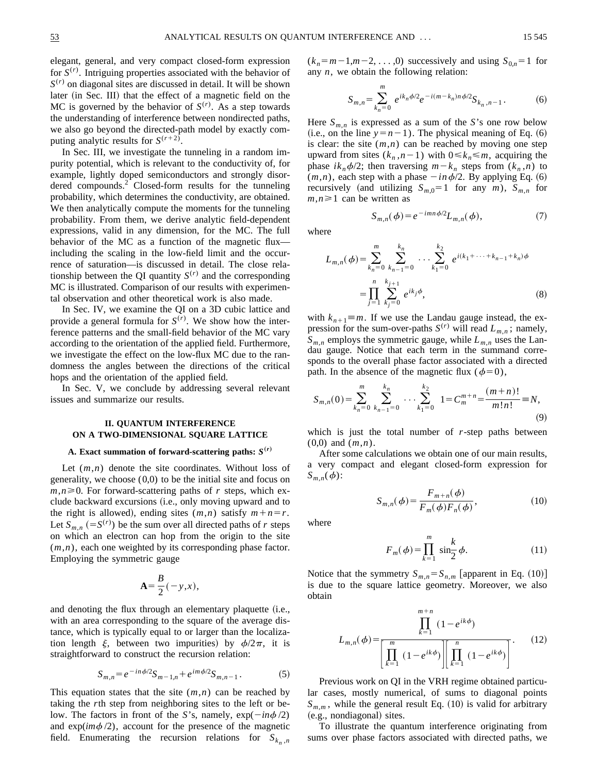elegant, general, and very compact closed-form expression for *S*(*r*) . Intriguing properties associated with the behavior of  $S^{(r)}$  on diagonal sites are discussed in detail. It will be shown later (in Sec. III) that the effect of a magnetic field on the MC is governed by the behavior of  $S^{(r)}$ . As a step towards the understanding of interference between nondirected paths, we also go beyond the directed-path model by exactly computing analytic results for  $S^{(r+2)}$ .

In Sec. III, we investigate the tunneling in a random impurity potential, which is relevant to the conductivity of, for example, lightly doped semiconductors and strongly disordered compounds.<sup>2</sup> Closed-form results for the tunneling probability, which determines the conductivity, are obtained. We then analytically compute the moments for the tunneling probability. From them, we derive analytic field-dependent expressions, valid in any dimension, for the MC. The full behavior of the MC as a function of the magnetic flux including the scaling in the low-field limit and the occurrence of saturation—is discussed in detail. The close relationship between the OI quantity  $S^{(r)}$  and the corresponding MC is illustrated. Comparison of our results with experimental observation and other theoretical work is also made.

In Sec. IV, we examine the QI on a 3D cubic lattice and provide a general formula for  $S^{(r)}$ . We show how the interference patterns and the small-field behavior of the MC vary according to the orientation of the applied field. Furthermore, we investigate the effect on the low-flux MC due to the randomness the angles between the directions of the critical hops and the orientation of the applied field.

In Sec. V, we conclude by addressing several relevant issues and summarize our results.

## **II. QUANTUM INTERFERENCE ON A TWO-DIMENSIONAL SQUARE LATTICE**

#### A. Exact summation of forward-scattering paths:  $S^{(r)}$

Let  $(m, n)$  denote the site coordinates. Without loss of generality, we choose  $(0,0)$  to be the initial site and focus on  $m, n \geq 0$ . For forward-scattering paths of *r* steps, which exclude backward excursions (i.e., only moving upward and to the right is allowed), ending sites  $(m,n)$  satisfy  $m+n=r$ . Let  $S_{m,n}$  (= $S^{(r)}$ ) be the sum over all directed paths of *r* steps on which an electron can hop from the origin to the site (*m*,*n*), each one weighted by its corresponding phase factor. Employing the symmetric gauge

$$
\mathbf{A} = \frac{B}{2}(-y, x),
$$

and denoting the flux through an elementary plaquette (i.e., with an area corresponding to the square of the average distance, which is typically equal to or larger than the localization length  $\xi$ , between two impurities) by  $\phi/2\pi$ , it is straightforward to construct the recursion relation:

$$
S_{m,n} = e^{-in\phi/2} S_{m-1,n} + e^{im\phi/2} S_{m,n-1}.
$$
 (5)

This equation states that the site  $(m,n)$  can be reached by taking the *r*th step from neighboring sites to the left or below. The factors in front of the *S*'s, namely,  $\exp(-in\phi/2)$ and  $\exp(im\phi/2)$ , account for the presence of the magnetic field. Enumerating the recursion relations for  $S_{k_n,n}$ 

 $(k_n=m-1,m-2,\ldots,0)$  successively and using  $S_{0,n}=1$  for any *n*, we obtain the following relation:

$$
S_{m,n} = \sum_{k_n=0}^{m} e^{ik_n \phi/2} e^{-i(m-k_n)n \phi/2} S_{k_n, n-1}.
$$
 (6)

Here  $S_{m,n}$  is expressed as a sum of the *S*'s one row below (i.e., on the line  $y=n-1$ ). The physical meaning of Eq. (6) is clear: the site  $(m,n)$  can be reached by moving one step upward from sites  $(k_n, n-1)$  with  $0 \le k_n \le m$ , acquiring the phase  $ik_n\phi/2$ ; then traversing  $m-k_n$  steps from  $(k_n,n)$  to  $(m,n)$ , each step with a phase  $-in \phi/2$ . By applying Eq. (6) recursively (and utilizing  $S_{m,0}=1$  for any  $m$ ),  $S_{m,n}$  for  $m, n \geq 1$  can be written as

where

$$
L_{m,n}(\phi) = \sum_{k_n=0}^{m} \sum_{k_{n-1}=0}^{k_n} \cdots \sum_{k_1=0}^{k_2} e^{i(k_1 + \cdots + k_{n-1} + k_n)\phi}
$$
  
= 
$$
\prod_{j=1}^{n} \sum_{k_j=0}^{k_{j+1}} e^{ik_j\phi},
$$
 (8)

 $S_{m,n}(\phi) = e^{-imn\phi/2} L_{m,n}(\phi)$ , (7)

with  $k_{n+1} \equiv m$ . If we use the Landau gauge instead, the expression for the sum-over-paths  $S^{(r)}$  will read  $L_{m,n}$ ; namely,  $S_{m,n}$  employs the symmetric gauge, while  $L_{m,n}$  uses the Landau gauge. Notice that each term in the summand corresponds to the overall phase factor associated with a directed path. In the absence of the magnetic flux ( $\phi=0$ ),

$$
S_{m,n}(0) = \sum_{k_n=0}^{m} \sum_{k_{n-1}=0}^{k_n} \cdots \sum_{k_1=0}^{k_2} 1 = C_m^{m+n} = \frac{(m+n)!}{m!n!} = N,
$$
\n(9)

which is just the total number of *r*-step paths between (0,0) and (*m*,*n*).

After some calculations we obtain one of our main results, a very compact and elegant closed-form expression for  $S_{m,n}(\phi)$ :

$$
S_{m,n}(\phi) = \frac{F_{m+n}(\phi)}{F_m(\phi)F_n(\phi)},\tag{10}
$$

where

$$
F_m(\phi) = \prod_{k=1}^m \sin^{\frac{k}{2}} \phi.
$$
 (11)

Notice that the symmetry  $S_{m,n} = S_{n,m}$  [apparent in Eq. (10)] is due to the square lattice geometry. Moreover, we also obtain

$$
L_{m,n}(\phi) = \frac{\prod_{k=1}^{m+n} (1 - e^{ik\phi})}{\left[\prod_{k=1}^{m} (1 - e^{ik\phi})\right] \left[\prod_{k=1}^{n} (1 - e^{ik\phi})\right]}.
$$
 (12)

Previous work on QI in the VRH regime obtained particular cases, mostly numerical, of sums to diagonal points  $S_{m,m}$ , while the general result Eq.  $(10)$  is valid for arbitrary  $(e.g., nondiagonal)$  sites.

To illustrate the quantum interference originating from sums over phase factors associated with directed paths, we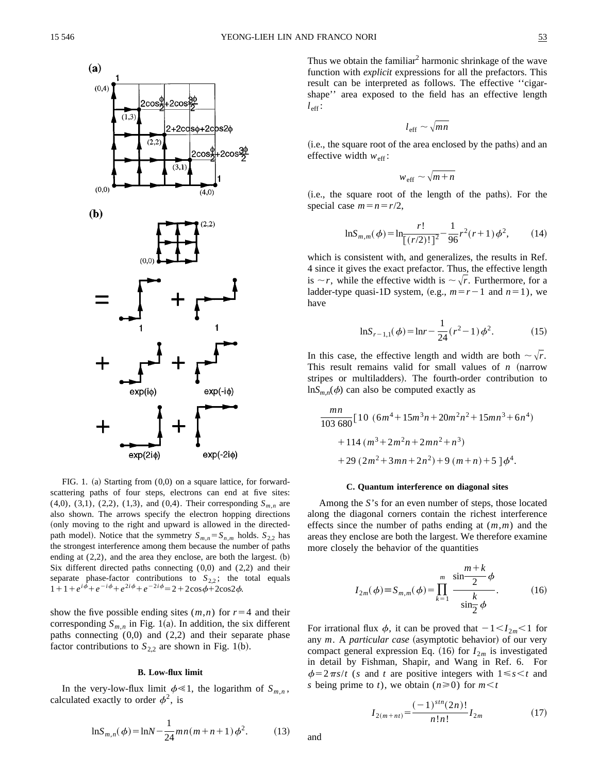

FIG. 1. (a) Starting from  $(0,0)$  on a square lattice, for forwardscattering paths of four steps, electrons can end at five sites:  $(4,0)$ ,  $(3,1)$ ,  $(2,2)$ ,  $(1,3)$ , and  $(0,4)$ . Their corresponding  $S_{m,n}$  are also shown. The arrows specify the electron hopping directions (only moving to the right and upward is allowed in the directedpath model). Notice that the symmetry  $S_{m,n} = S_{n,m}$  holds.  $S_{2,2}$  has the strongest interference among them because the number of paths ending at  $(2,2)$ , and the area they enclose, are both the largest.  $(b)$ Six different directed paths connecting (0,0) and (2,2) and their separate phase-factor contributions to  $S_{2,2}$ ; the total equals  $1+1+e^{i\phi}+e^{-i\phi}+e^{2i\phi}+e^{-2i\phi}=2+2\cos\phi+2\cos 2\phi.$ 

show the five possible ending sites  $(m, n)$  for  $r = 4$  and their corresponding  $S_{m,n}$  in Fig. 1(a). In addition, the six different paths connecting  $(0,0)$  and  $(2,2)$  and their separate phase factor contributions to  $S_{2,2}$  are shown in Fig. 1(b).

### **B. Low-flux limit**

In the very-low-flux limit  $\phi \ll 1$ , the logarithm of  $S_{m,n}$ , calculated exactly to order  $\phi^2$ , is

$$
\ln S_{m,n}(\phi) = \ln N - \frac{1}{24}mn(m+n+1)\phi^2.
$$
 (13)

and

Thus we obtain the familiar<sup>2</sup> harmonic shrinkage of the wave function with *explicit* expressions for all the prefactors. This result can be interpreted as follows. The effective ''cigarshape'' area exposed to the field has an effective length  $l_{\text{eff}}$ :

$$
l_{\rm eff} \sim \sqrt{mn}
$$

(i.e., the square root of the area enclosed by the paths) and an effective width  $w_{\text{eff}}$ :

$$
w_{\rm eff} \sim \sqrt{m+n}
$$

(i.e., the square root of the length of the paths). For the special case  $m=n=r/2$ ,

$$
\ln S_{m,m}(\phi) = \ln \frac{r!}{\left[ (r/2)! \right]^2} - \frac{1}{96} r^2 (r+1) \phi^2, \qquad (14)
$$

which is consistent with, and generalizes, the results in Ref. 4 since it gives the exact prefactor. Thus, the effective length is  $\sim r$ , while the effective width is  $\sim \sqrt{r}$ . Furthermore, for a ladder-type quasi-1D system, (e.g.,  $m=r-1$  and  $n=1$ ), we have

$$
\ln S_{r-1,1}(\phi) = \ln r - \frac{1}{24}(r^2 - 1)\phi^2.
$$
 (15)

In this case, the effective length and width are both  $\sim \sqrt{r}$ . This result remains valid for small values of  $n$  (narrow stripes or multiladders). The fourth-order contribution to  $\ln S_{m,n}(\phi)$  can also be computed exactly as

$$
\frac{mn}{103\ 680} [10\ (6m^4 + 15m^3n + 20m^2n^2 + 15mn^3 + 6n^4)
$$
  
+ 114(m^3 + 2m^2n + 2mn^2 + n^3)  
+ 29(2m^2 + 3mn + 2n^2) + 9(m+n) + 5]\phi<sup>4</sup>.

#### **C. Quantum interference on diagonal sites**

Among the *S*'s for an even number of steps, those located along the diagonal corners contain the richest interference effects since the number of paths ending at (*m*,*m*) and the areas they enclose are both the largest. We therefore examine more closely the behavior of the quantities

$$
I_{2m}(\phi) \equiv S_{m,m}(\phi) = \prod_{k=1}^{m} \frac{\sin \frac{m+k}{2} \phi}{\sin \frac{k}{2} \phi}.
$$
 (16)

For irrational flux  $\phi$ , it can be proved that  $-1 < I_{2m} < 1$  for any *m*. A *particular case* (asymptotic behavior) of our very compact general expression Eq.  $(16)$  for  $I_{2m}$  is investigated in detail by Fishman, Shapir, and Wang in Ref. 6. For  $\phi = 2\pi s/t$  (*s* and *t* are positive integers with  $1 \leq s \leq t$  and *s* being prime to *t*), we obtain ( $n \ge 0$ ) for  $m \le t$ 

$$
I_{2(m+nt)} = \frac{(-1)^{stn}(2n)!}{n!n!} I_{2m}
$$
 (17)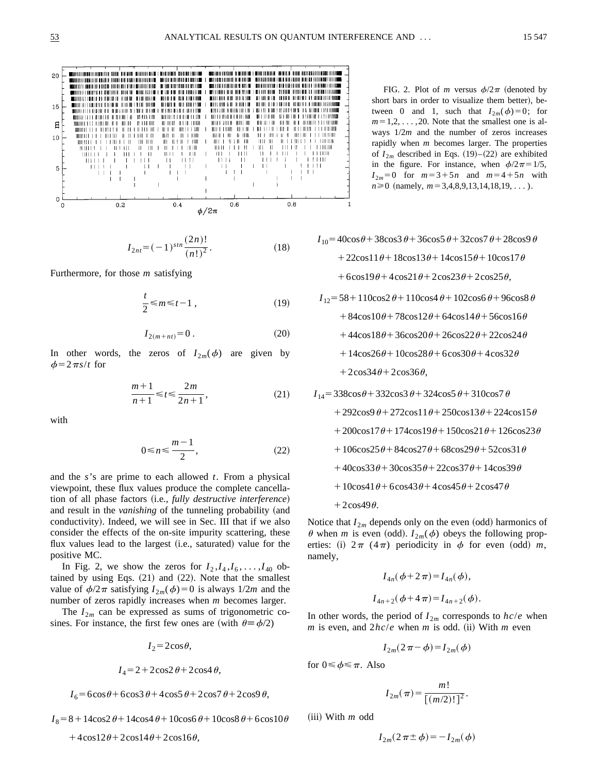



$$
I_{2nt} = (-1)^{stn} \frac{(2n)!}{(n!)^2}.
$$
 (18)

Furthermore, for those *m* satisfying

$$
\frac{t}{2} \le m \le t - 1 \tag{19}
$$

$$
I_{2(m+nt)} = 0.
$$
 (20)

In other words, the zeros of  $I_{2m}(\phi)$  are given by  $\phi=2\pi s/t$  for

$$
\frac{m+1}{n+1} \leq t \leq \frac{2m}{2n+1},\tag{21}
$$

with

$$
0 \le n \le \frac{m-1}{2},\tag{22}
$$

and the *s*'s are prime to each allowed *t*. From a physical viewpoint, these flux values produce the complete cancellation of all phase factors (i.e., *fully destructive interference*) and result in the *vanishing* of the tunneling probability (and conductivity). Indeed, we will see in Sec. III that if we also consider the effects of the on-site impurity scattering, these flux values lead to the largest (i.e., saturated) value for the positive MC.

In Fig. 2, we show the zeros for  $I_2$ , $I_4$ , $I_6$ ,..., $I_{40}$  obtained by using Eqs.  $(21)$  and  $(22)$ . Note that the smallest value of  $\phi/2\pi$  satisfying  $I_{2m}(\phi)=0$  is always  $1/2m$  and the number of zeros rapidly increases when *m* becomes larger.

The  $I_{2m}$  can be expressed as sums of trigonometric cosines. For instance, the first few ones are (with  $\theta = \phi/2$ )

 $I_2 = 2\cos\theta$ ,

$$
I_4 = 2 + 2\cos 2\theta + 2\cos 4\theta,
$$

$$
I_6 = 6\cos\theta + 6\cos3\theta + 4\cos5\theta + 2\cos7\theta + 2\cos9\theta,
$$

$$
I_8 = 8 + 14\cos 2\theta + 14\cos 4\theta + 10\cos 6\theta + 10\cos 8\theta + 6\cos 10\theta
$$

 $+4\cos 12\theta + 2\cos 14\theta + 2\cos 16\theta$ 

FIG. 2. Plot of *m* versus  $\phi/2\pi$  (denoted by short bars in order to visualize them better), between 0 and 1, such that  $I_{2m}(\phi)=0$ ; for  $m=1,2,\ldots,20$ . Note that the smallest one is always 1/2*m* and the number of zeros increases rapidly when *m* becomes larger. The properties of  $I_{2m}$  described in Eqs. (19)–(22) are exhibited in the figure. For instance, when  $\phi/2\pi=1/5$ ,  $I_{2m} = 0$  for  $m = 3 + 5n$  and  $m = 4 + 5n$  with  $n \ge 0$  (namely,  $m=3,4,8,9,13,14,18,19, \ldots$ ).

 $I_{10}$ =40cos $\theta$ +38cos3 $\theta$ +36cos5 $\theta$ +32cos7 $\theta$ +28cos9 $\theta$  $+22\cos 11\theta + 18\cos 13\theta + 14\cos 15\theta + 10\cos 17\theta$  $+6\cos 19\theta + 4\cos 21\theta + 2\cos 23\theta + 2\cos 25\theta$ ,  $I_{12}$ = 58 + 110cos2  $\theta$  + 110cos4  $\theta$  + 102cos6  $\theta$  + 96cos8  $\theta$  $+84\cos 10\theta + 78\cos 12\theta + 64\cos 14\theta + 56\cos 16\theta$ 

$$
+44\text{cos}18\theta+36\text{cos}20\theta+26\text{cos}22\theta+22\text{cos}24\theta
$$

 $+14\cos(26\theta+10\cos(28\theta)+6\cos(30\theta)+4\cos(32\theta$  $+2\cos34\theta+2\cos36\theta$ ,

$$
I_{14} = 338\cos\theta + 332\cos3\theta + 324\cos5\theta + 310\cos7\theta
$$
  
+ 292\cos9\theta + 272\cos11\theta + 250\cos13\theta + 224\cos15\theta  
+ 200\cos17\theta + 174\cos19\theta + 150\cos21\theta + 126\cos23\theta  
+ 106\cos25\theta + 84\cos27\theta + 68\cos29\theta + 52\cos31\theta  
+ 40\cos33\theta + 30\cos35\theta + 22\cos37\theta + 14\cos39\theta  
+ 10\cos41\theta + 6\cos43\theta + 4\cos45\theta + 2\cos47\theta  
+ 2\cos49\theta.

Notice that  $I_{2m}$  depends only on the even (odd) harmonics of  $\theta$  when *m* is even (odd).  $I_{2m}(\phi)$  obeys the following properties: (i)  $2\pi$  (4 $\pi$ ) periodicity in  $\phi$  for even (odd) *m*, namely,

$$
I_{4n}(\phi + 2\pi) = I_{4n}(\phi),
$$
  

$$
I_{4n+2}(\phi + 4\pi) = I_{4n+2}(\phi).
$$

In other words, the period of  $I_{2m}$  corresponds to  $hc/e$  when  $m$  is even, and  $2hc/e$  when  $m$  is odd. (ii) With  $m$  even

$$
I_{2m}(2\pi-\phi)=I_{2m}(\phi)
$$

for  $0 \le \phi \le \pi$ . Also

$$
I_{2m}(\pi) = \frac{m!}{[(m/2)!]^2}.
$$

 $(iii)$  With  $m$  odd

$$
I_{2m}(2\pi \pm \phi) = -I_{2m}(\phi)
$$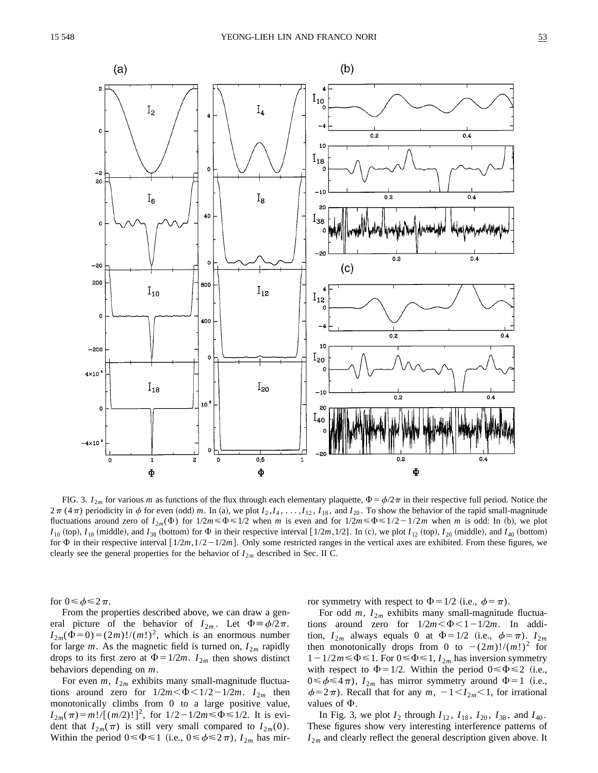

FIG. 3.  $I_{2m}$  for various *m* as functions of the flux through each elementary plaquette,  $\Phi = \phi/2\pi$  in their respective full period. Notice the  $2\pi$  (4 $\pi$ ) periodicity in  $\phi$  for even (odd) *m*. In (a), we plot  $I_2, I_4, \ldots, I_{12}, I_{18}$ , and  $I_{20}$ . To show the behavior of the rapid small-magnitude fluctuations around zero of  $I_{2m}(\Phi)$  for  $1/2m \le \Phi \le 1/2$  when *m* is even and for  $1/2m \le \Phi \le 1/2 - 1/2m$  when *m* is odd: In (b), we plot  $I_{10}$  (top),  $I_{18}$  (middle), and  $I_{38}$  (bottom) for  $\Phi$  in their respective interval [1/2*m*, 1/2]. In (c), we plot  $I_{12}$  (top),  $I_{20}$  (middle), and  $I_{40}$  (bottom) for  $\Phi$  in their respective interval  $[1/2m, 1/2-1/2m]$ . Only some restricted ranges in the vertical axes are exhibited. From these figures, we clearly see the general properties for the behavior of  $I_{2m}$  described in Sec. II C.

for  $0 \le \phi \le 2\pi$ .

From the properties described above, we can draw a general picture of the behavior of  $I_{2m}$ . Let  $\Phi = \phi/2\pi$ .  $I_{2m}(\Phi=0) = (2m)!/(m!)^2$ , which is an enormous number for large *m*. As the magnetic field is turned on,  $I_{2m}$  rapidly drops to its first zero at  $\Phi = 1/2m$ .  $I_{2m}$  then shows distinct behaviors depending on *m*.

For even  $m$ ,  $I_{2m}$  exhibits many small-magnitude fluctuations around zero for  $1/2m < \Phi < 1/2-1/2m$ .  $I_{2m}$  then monotonically climbs from 0 to a large positive value,  $I_{2m}(\pi) = m! / [(m/2)!]^2$ , for  $1/2 - 1/2m \le \Phi \le 1/2$ . It is evident that  $I_{2m}(\pi)$  is still very small compared to  $I_{2m}(0)$ . Within the period  $0 \le \Phi \le 1$  (i.e.,  $0 \le \phi \le 2\pi$ ),  $I_{2m}$  has mirror symmetry with respect to  $\Phi=1/2$  (i.e.,  $\phi=\pi$ ).

For odd  $m$ ,  $I_{2m}$  exhibits many small-magnitude fluctuations around zero for  $1/2m < \Phi < 1 - 1/2m$ . In addition,  $I_{2m}$  always equals 0 at  $\Phi = 1/2$  (i.e.,  $\phi = \pi$ ).  $I_{2m}$ then monotonically drops from 0 to  $-(2m)!/(m!)^2$  for  $1-1/2m \le \Phi \le 1$ . For  $0 \le \Phi \le 1$ ,  $I_{2m}$  has inversion symmetry with respect to  $\Phi = 1/2$ . Within the period  $0 \le \Phi \le 2$  (i.e.,  $0 \le \phi \le 4\pi$ ),  $I_{2m}$  has mirror symmetry around  $\Phi = 1$  (i.e.,  $\phi=2\pi$ ). Recall that for any *m*,  $-1 < I_{2m} < 1$ , for irrational values of  $\Phi$ .

In Fig. 3, we plot  $I_2$  through  $I_{12}$ ,  $I_{18}$ ,  $I_{20}$ ,  $I_{38}$ , and  $I_{40}$ . These figures show very interesting interference patterns of  $I_{2m}$  and clearly reflect the general description given above. It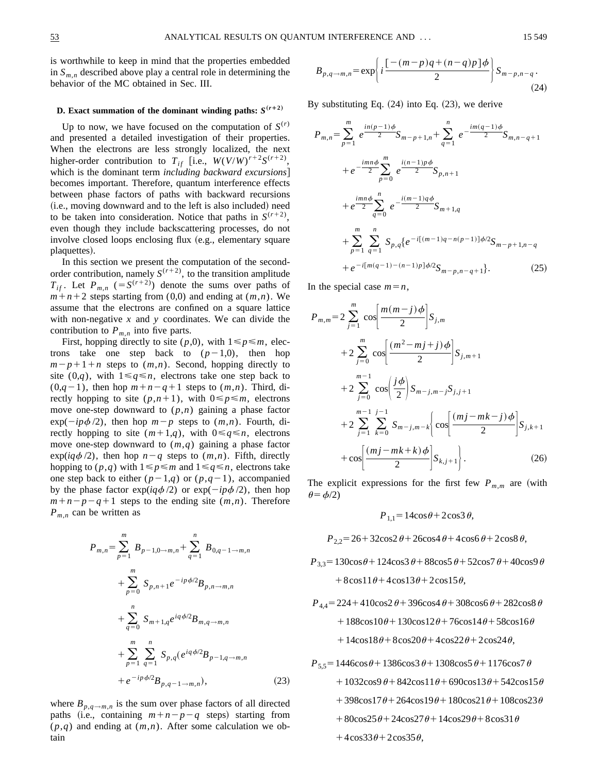is worthwhile to keep in mind that the properties embedded in  $S_{m,n}$  described above play a central role in determining the behavior of the MC obtained in Sec. III.

# **D.** Exact summation of the dominant winding paths:  $S^{(r+2)}$

Up to now, we have focused on the computation of  $S^{(r)}$ and presented a detailed investigation of their properties. When the electrons are less strongly localized, the next higher-order contribution to  $T_{if}$  [i.e.,  $W(V/W)^{r+2}S^{(r+2)}$ , which is the dominant term *including backward excursions* becomes important. Therefore, quantum interference effects between phase factors of paths with backward recursions (i.e., moving downward and to the left is also included) need to be taken into consideration. Notice that paths in  $S^{(r+2)}$ , even though they include backscattering processes, do not involve closed loops enclosing flux (e.g., elementary square plaquettes).

In this section we present the computation of the secondorder contribution, namely  $S^{(r+2)}$ , to the transition amplitude  $T_{if}$ . Let  $P_{mn}$  (=S<sup>(r+2)</sup>) denote the sums over paths of  $m+n+2$  steps starting from (0,0) and ending at  $(m,n)$ . We assume that the electrons are confined on a square lattice with non-negative *x* and *y* coordinates. We can divide the contribution to  $P_{m,n}$  into five parts.

First, hopping directly to site  $(p,0)$ , with  $1 \leq p \leq m$ , electrons take one step back to  $(p-1,0)$ , then hop  $m-p+1+n$  steps to  $(m,n)$ . Second, hopping directly to site  $(0,q)$ , with  $1 \leq q \leq n$ , electrons take one step back to  $(0,q-1)$ , then hop  $m+n-q+1$  steps to  $(m,n)$ . Third, directly hopping to site  $(p,n+1)$ , with  $0 \leq p \leq m$ , electrons move one-step downward to (*p*,*n*) gaining a phase factor  $\exp(-ip\phi/2)$ , then hop  $m-p$  steps to  $(m,n)$ . Fourth, directly hopping to site  $(m+1,q)$ , with  $0 \leq q \leq n$ , electrons move one-step downward to (*m*,*q*) gaining a phase factor  $\exp(iq\phi/2)$ , then hop  $n-q$  steps to  $(m,n)$ . Fifth, directly hopping to  $(p,q)$  with  $1 \leq p \leq m$  and  $1 \leq q \leq n$ , electrons take one step back to either  $(p-1,q)$  or  $(p,q-1)$ , accompanied by the phase factor  $\exp(iq\phi/2)$  or  $\exp(-ip\phi/2)$ , then hop  $m+n-p-q+1$  steps to the ending site  $(m,n)$ . Therefore *Pm*,*<sup>n</sup>* can be written as

$$
P_{m,n} = \sum_{p=1}^{m} B_{p-1,0\rightarrow m,n} + \sum_{q=1}^{n} B_{0,q-1\rightarrow m,n}
$$
  
+ 
$$
\sum_{p=0}^{m} S_{p,n+1} e^{-ip\phi/2} B_{p,n\rightarrow m,n}
$$
  
+ 
$$
\sum_{q=0}^{n} S_{m+1,q} e^{iq\phi/2} B_{m,q\rightarrow m,n}
$$
  
+ 
$$
\sum_{p=1}^{m} \sum_{q=1}^{n} S_{p,q} (e^{iq\phi/2} B_{p-1,q\rightarrow m,n})
$$
  
+ 
$$
e^{-ip\phi/2} B_{p,q-1\rightarrow m,n}),
$$
 (23)

where  $B_{p,q\to m,n}$  is the sum over phase factors of all directed paths (i.e., containing  $m+n-p-q$  steps) starting from  $(p,q)$  and ending at  $(m,n)$ . After some calculation we obtain

$$
B_{p,q\to m,n} = \exp\left\{i\frac{\left[-(m-p)q + (n-q)p\right]\phi}{2}\right\}S_{m-p,n-q}.
$$
\n(24)

By substituting Eq.  $(24)$  into Eq.  $(23)$ , we derive

$$
P_{m,n} = \sum_{p=1}^{m} e^{\frac{in(p-1)\phi}{2}} S_{m-p+1,n} + \sum_{q=1}^{n} e^{-\frac{im(q-1)\phi}{2}} S_{m,n-q+1}
$$
  
+  $e^{-\frac{imn\phi}{2}} \sum_{p=0}^{m} e^{\frac{i(n-1)p\phi}{2}} S_{p,n+1}$   
+  $e^{\frac{imn\phi}{2}} \sum_{q=0}^{n} e^{-\frac{i(m-1)q\phi}{2}} S_{m+1,q}$   
+  $\sum_{p=1}^{m} \sum_{q=1}^{n} S_{p,q} \{e^{-i[(m-1)q-n(p-1)]\phi/2} S_{m-p+1,n-q}$   
+  $e^{-i[m(q-1)-(n-1)p]\phi/2} S_{m-p,n-q+1}\}.$  (25)

In the special case  $m=n$ ,

$$
P_{m,m} = 2 \sum_{j=1}^{m} \cos \left[ \frac{m(m-j)\phi}{2} \right] S_{j,m}
$$
  
+2  $\sum_{j=0}^{m} \cos \left[ \frac{(m^2 - mj + j)\phi}{2} \right] S_{j,m+1}$   
+2  $\sum_{j=0}^{m-1} \cos \left( \frac{j\phi}{2} \right) S_{m-j,m-j} S_{j,j+1}$   
+2  $\sum_{j=1}^{m-1} \sum_{k=0}^{j-1} S_{m-j,m-k} \left\{ \cos \left[ \frac{(mj - mk - j)\phi}{2} \right] S_{j,k+1} + \cos \left[ \frac{(mj - mk + k)\phi}{2} \right] S_{k,j+1} \right\}.$  (26)

The explicit expressions for the first few  $P_{m,m}$  are (with  $\theta = \phi/2$ 

$$
P_{1,1} = 14\cos\theta + 2\cos3\theta,
$$

 $P_{2,2}$ =26+32cos2 $\theta$ +26cos4 $\theta$ +4cos6 $\theta$ +2cos8 $\theta$ ,

 $P_{3,3} = 130 \cos \theta + 124 \cos 3 \theta + 88 \cos 5 \theta + 52 \cos 7 \theta + 40 \cos 9 \theta$  $+8\cos 11\theta + 4\cos 13\theta + 2\cos 15\theta$ ,

 $P_{4,4} = 224 + 410\cos 2 \theta + 396\cos 4 \theta + 308\cos 6 \theta + 282\cos 8 \theta$ 

 $+188\cos 10\theta + 130\cos 12\theta + 76\cos 14\theta + 58\cos 16\theta$ 

 $+14\cos 18\theta + 8\cos 20\theta + 4\cos 22\theta + 2\cos 24\theta$ ,

 $P_{5,5}$ =1446cos $\theta$ +1386cos3 $\theta$ +1308cos5 $\theta$ +1176cos7 $\theta$ 

- $+1032\cos9\theta+842\cos11\theta+690\cos13\theta+542\cos15\theta$
- $+398\cos 17\theta + 264\cos 19\theta + 180\cos 21\theta + 108\cos 23\theta$
- $+80\cos25\theta+24\cos27\theta+14\cos29\theta+8\cos31\theta$
- $+4\cos33\theta+2\cos35\theta$ ,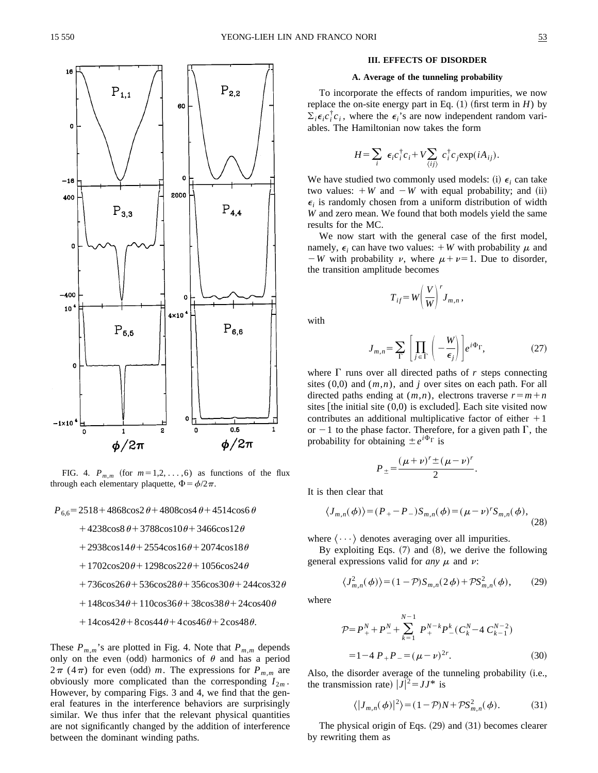

FIG. 4.  $P_{m,m}$  (for  $m=1,2,\ldots,6$ ) as functions of the flux through each elementary plaquette,  $\Phi = \phi/2\pi$ .

 $P_{6.6}$  = 2518 + 4868cos2  $\theta$  + 4808cos4  $\theta$  + 4514cos6  $\theta$ 

 $+4238\cos8\theta + 3788\cos10\theta + 3466\cos12\theta$ 

 $+2938\cos 14\theta + 2554\cos 16\theta + 2074\cos 18\theta$ 

 $+1702\cos(20\theta) + 1298\cos(22\theta) + 1056\cos(24\theta)$ 

- $+736\cos(26\theta) + 536\cos(28\theta) + 356\cos(30\theta) + 244\cos(32\theta)$
- $+148\cos 34\theta + 110\cos 36\theta + 38\cos 38\theta + 24\cos 40\theta$
- $+14\cos42\theta+8\cos44\theta+4\cos46\theta+2\cos48\theta.$

These  $P_{m,m}$ 's are plotted in Fig. 4. Note that  $P_{m,m}$  depends only on the even (odd) harmonics of  $\theta$  and has a period  $2\pi$  (4 $\pi$ ) for even (odd) *m*. The expressions for  $P_{m,m}$  are obviously more complicated than the corresponding  $I_{2m}$ . However, by comparing Figs. 3 and 4, we find that the general features in the interference behaviors are surprisingly similar. We thus infer that the relevant physical quantities are not significantly changed by the addition of interference between the dominant winding paths.

# **III. EFFECTS OF DISORDER**

### **A. Average of the tunneling probability**

To incorporate the effects of random impurities, we now replace the on-site energy part in Eq.  $(1)$  (first term in *H*) by  $\Sigma_i \epsilon_i c_i^{\dagger} c_i$ , where the  $\epsilon_i$ 's are now independent random variables. The Hamiltonian now takes the form

$$
H = \sum_{i} \epsilon_{i} c_{i}^{\dagger} c_{i} + V \sum_{\langle ij \rangle} c_{i}^{\dagger} c_{j} \exp(i A_{ij}).
$$

We have studied two commonly used models: (i)  $\epsilon_i$  can take two values:  $+W$  and  $-W$  with equal probability; and (ii)  $\epsilon_i$  is randomly chosen from a uniform distribution of width *W* and zero mean. We found that both models yield the same results for the MC.

We now start with the general case of the first model, namely,  $\epsilon_i$  can have two values:  $+W$  with probability  $\mu$  and  $-W$  with probability v, where  $\mu + \nu = 1$ . Due to disorder, the transition amplitude becomes

$$
T_{if} = W \left(\frac{V}{W}\right)^r J_{m,n},
$$

with

$$
J_{m,n} = \sum_{\Gamma} \left[ \prod_{j \in \Gamma} \left( -\frac{W}{\epsilon_j} \right) \right] e^{i\Phi_{\Gamma}}, \tag{27}
$$

where  $\Gamma$  runs over all directed paths of *r* steps connecting sites  $(0,0)$  and  $(m,n)$ , and *j* over sites on each path. For all directed paths ending at  $(m,n)$ , electrons traverse  $r=m+n$ sites  $[$ the initial site  $(0,0)$  is excluded $]$ . Each site visited now contributes an additional multiplicative factor of either  $+1$ or  $-1$  to the phase factor. Therefore, for a given path  $\Gamma$ , the probability for obtaining  $\pm e^{i\Phi_{\Gamma}}$  is

$$
P_{\pm} = \frac{(\mu + \nu)^{r} \pm (\mu - \nu)^{r}}{2}.
$$

It is then clear that

$$
\langle J_{m,n}(\phi) \rangle = (P_{+} - P_{-})S_{m,n}(\phi) = (\mu - \nu)^{r} S_{m,n}(\phi),
$$
\n(28)

where  $\langle \cdots \rangle$  denotes averaging over all impurities.

By exploiting Eqs.  $(7)$  and  $(8)$ , we derive the following general expressions valid for *any*  $\mu$  and  $\nu$ :

$$
\langle J_{m,n}^2(\phi) \rangle = (1 - \mathcal{P}) S_{m,n}(2\phi) + \mathcal{P} S_{m,n}^2(\phi), \qquad (29)
$$

where

$$
\mathcal{P} = P_{+}^{N} + P_{-}^{N} + \sum_{k=1}^{N-1} P_{+}^{N-k} P_{-}^{k} (C_{k}^{N} - 4 C_{k-1}^{N-2})
$$
  
= 1 - 4 P\_{+} P\_{-} = (\mu - \nu)^{2r}. (30)

Also, the disorder average of the tunneling probability  $(i.e.,$ the transmission rate)  $|J|^2 = JJ^*$  is

$$
\langle |J_{m,n}(\phi)|^2 \rangle = (1 - \mathcal{P})N + \mathcal{P}S_{m,n}^2(\phi). \tag{31}
$$

The physical origin of Eqs.  $(29)$  and  $(31)$  becomes clearer by rewriting them as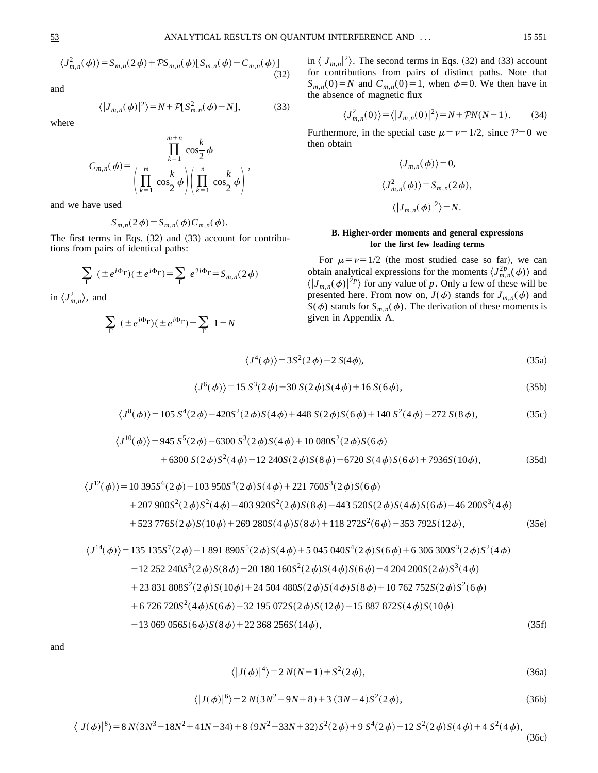$$
\langle J_{m,n}^2(\phi) \rangle = S_{m,n}(2\phi) + \mathcal{P}S_{m,n}(\phi)[S_{m,n}(\phi) - C_{m,n}(\phi)]
$$
\n(32)

and

$$
\langle |J_{m,n}(\phi)|^2 \rangle = N + \mathcal{P}[S_{m,n}^2(\phi) - N], \tag{33}
$$

where

$$
C_{m,n}(\phi) = \frac{\prod_{k=1}^{m+n} \cos\frac{k}{2}\phi}{\left(\prod_{k=1}^m \cos\frac{k}{2}\phi\right)\left(\prod_{k=1}^n \cos\frac{k}{2}\phi\right)},
$$

and we have used

$$
S_{m,n}(2\phi) = S_{m,n}(\phi) C_{m,n}(\phi).
$$

The first terms in Eqs.  $(32)$  and  $(33)$  account for contributions from pairs of identical paths:

$$
\sum_{\Gamma} (\pm e^{i\Phi_{\Gamma}})(\pm e^{i\Phi_{\Gamma}}) = \sum_{\Gamma} e^{2i\Phi_{\Gamma}} = S_{m,n}(2\phi)
$$

in  $\langle J_{m,n}^2 \rangle$ , and

$$
\sum_{\Gamma} (\pm e^{i\Phi_{\Gamma}})(\pm e^{i\Phi_{\Gamma}}) = \sum_{\Gamma} 1 = N
$$

in  $\langle |J_{m,n}|^2 \rangle$ . The second terms in Eqs. (32) and (33) account for contributions from pairs of distinct paths. Note that  $S_{m,n}(0) = N$  and  $C_{m,n}(0) = 1$ , when  $\phi = 0$ . We then have in the absence of magnetic flux

$$
\langle J_{m,n}^2(0)\rangle = \langle |J_{m,n}(0)|^2 \rangle = N + \mathcal{P}N(N-1). \tag{34}
$$

Furthermore, in the special case  $\mu = \nu = 1/2$ , since P=0 we then obtain

$$
\langle J_{m,n}(\phi) \rangle = 0,
$$
  

$$
\langle J_{m,n}^2(\phi) \rangle = S_{m,n}(2 \phi),
$$
  

$$
\langle |J_{m,n}(\phi)|^2 \rangle = N.
$$

# **B. Higher-order moments and general expressions for the first few leading terms**

For  $\mu = \nu = 1/2$  (the most studied case so far), we can obtain analytical expressions for the moments  $\langle J_{m,n}^{2p}(\phi) \rangle$  and  $\langle |J_{m,n}(\phi)|^{2p} \rangle$  for any value of *p*. Only a few of these will be presented here. From now on,  $J(\phi)$  stands for  $J_{m,n}(\phi)$  and *S*( $\phi$ ) stands for *S<sub>m,n</sub>*( $\phi$ ). The derivation of these moments is given in Appendix A.

$$
\langle J^4(\phi) \rangle = 3S^2(2\phi) - 2S(4\phi),\tag{35a}
$$

$$
\langle J^6(\phi) \rangle = 15 S^3 (2 \phi) - 30 S (2 \phi) S (4 \phi) + 16 S (6 \phi), \tag{35b}
$$

$$
\langle J^8(\phi) \rangle = 105 S^4 (2 \phi) - 420 S^2 (2 \phi) S (4 \phi) + 448 S (2 \phi) S (6 \phi) + 140 S^2 (4 \phi) - 272 S (8 \phi), \tag{35c}
$$

$$
\langle J^{10}(\phi) \rangle = 945 S^5 (2 \phi) - 6300 S^3 (2 \phi) S (4 \phi) + 10080 S^2 (2 \phi) S (6 \phi)
$$
  
+ 6300 S(2 \phi) S<sup>2</sup>(4 \phi) - 12240 S(2 \phi) S(8 \phi) - 6720 S(4 \phi) S(6 \phi) + 7936 S(10 \phi), (35d)

$$
\langle J^{12}(\phi) \rangle = 10\ 395S^6(2\phi) - 103\ 950S^4(2\phi)S(4\phi) + 221\ 760S^3(2\phi)S(6\phi)
$$
  
+ 207\ 900S<sup>2</sup>(2\phi)S<sup>2</sup>(4\phi) - 403\ 920S<sup>2</sup>(2\phi)S(8\phi) - 443\ 520S(2\phi)S(4\phi)S(6\phi) - 46\ 200S^3(4\phi)  
+ 523\ 776S(2\phi)S(10\phi) + 269\ 280S(4\phi)S(8\phi) + 118\ 272S^2(6\phi) - 353\ 792S(12\phi), (35e)

$$
\langle J^{14}(\phi)\rangle = 135 \ 135 S^7(2\phi) - 1 \ 891 \ 890 S^5(2\phi) S(4\phi) + 5 \ 045 \ 040 S^4(2\phi) S(6\phi) + 6 \ 306 \ 300 S^3(2\phi) S^2(4\phi)
$$
  
\n
$$
-12 \ 252 \ 240 S^3(2\phi) S(8\phi) - 20 \ 180 \ 160 S^2(2\phi) S(4\phi) S(6\phi) - 4 \ 204 \ 200 S(2\phi) S^3(4\phi)
$$
  
\n
$$
+23 \ 831 \ 808 S^2(2\phi) S(10\phi) + 24 \ 504 \ 480 S(2\phi) S(4\phi) S(8\phi) + 10 \ 762 \ 752 S(2\phi) S^2(6\phi)
$$
  
\n
$$
+6 \ 726 \ 720 S^2(4\phi) S(6\phi) - 32 \ 195 \ 072 S(2\phi) S(12\phi) - 15 \ 887 \ 872 S(4\phi) S(10\phi)
$$
  
\n
$$
-13 \ 069 \ 056 S(6\phi) S(8\phi) + 22 \ 368 \ 256 S(14\phi),
$$
  
\n(35f)

and

$$
\langle |J(\phi)|^4 \rangle = 2 N(N-1) + S^2(2\phi), \tag{36a}
$$

$$
\langle |J(\phi)|^6 \rangle = 2 N(3N^2 - 9N + 8) + 3 (3N - 4)S^2(2\phi), \tag{36b}
$$

$$
\langle |J(\phi)|^8 \rangle = 8 N(3N^3 - 18N^2 + 41N - 34) + 8 (9N^2 - 33N + 32)S^2(2\phi) + 9 S^4(2\phi) - 12 S^2(2\phi)S(4\phi) + 4 S^2(4\phi),
$$
\n(36c)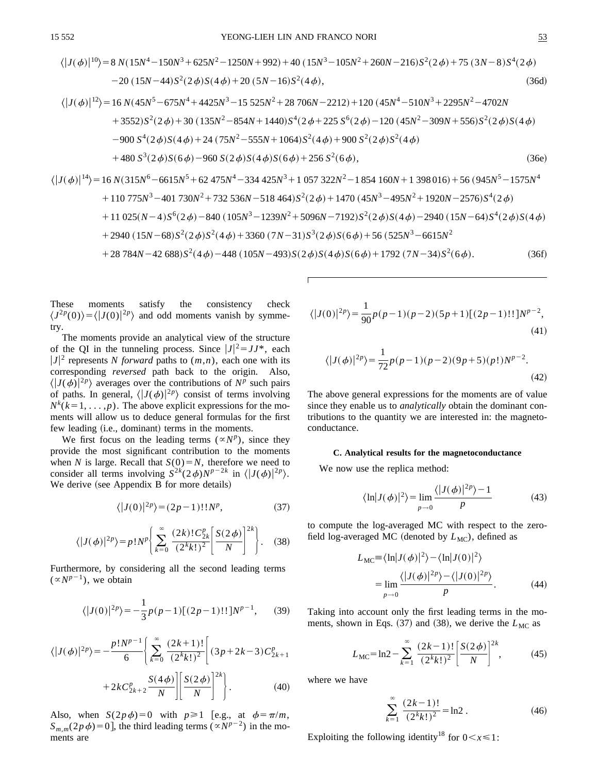$$
\langle |J(\phi)|^{10} \rangle = 8 N(15N^4 - 150N^3 + 625N^2 - 1250N + 992) + 40 (15N^3 - 105N^2 + 260N - 216)S^2(2\phi) + 75 (3N - 8)S^4(2\phi) - 20 (15N - 44)S^2(2\phi)S(4\phi) + 20 (5N - 16)S^2(4\phi),
$$
\n(36d)

$$
\langle |J(\phi)|^{12}\rangle = 16 N(45N^5 - 675N^4 + 4425N^3 - 15525N^2 + 28706N - 2212) + 120 (45N^4 - 510N^3 + 2295N^2 - 4702N + 3552)S^2(2\phi) + 30 (135N^2 - 854N + 1440)S^4(2\phi + 225 S^6(2\phi) - 120 (45N^2 - 309N + 556)S^2(2\phi)S(4\phi) - 900 S^4(2\phi)S(4\phi) + 24 (75N^2 - 555N + 1064)S^2(4\phi) + 900 S^2(2\phi)S^2(4\phi) + 480 S^3(2\phi)S(6\phi) - 960 S(2\phi)S(4\phi)S(6\phi) + 256 S^2(6\phi),
$$
 (36e)

$$
\langle |J(\phi)|^{14}\rangle = 16 N(315N^6 - 6615N^5 + 62475N^4 - 334425N^3 + 1057322N^2 - 1854160N + 1398016) + 56 (945N^5 - 1575N^4 + 110775N^3 - 401730N^2 + 732536N - 518464)S^2(2\phi) + 1470 (45N^3 - 495N^2 + 1920N - 2576)S^4(2\phi) + 11 025(N - 4)S^6(2\phi) - 840 (105N^3 - 1239N^2 + 5096N - 7192)S^2(2\phi)S(4\phi) - 2940 (15N - 64)S^4(2\phi)S(4\phi) + 2940 (15N - 68)S^2(2\phi)S^2(4\phi) + 3360 (7N - 31)S^3(2\phi)S(6\phi) + 56 (525N^3 - 6615N^2 + 28784N - 42688)S^2(4\phi) - 448 (105N - 493)S(2\phi)S(4\phi)S(6\phi) + 1792 (7N - 34)S^2(6\phi).
$$
 (36f)

These moments satisfy the consistency check  $\langle J^{2p}(0)\rangle = \langle |J(0)|^{2p}\rangle$  and odd moments vanish by symmetry.

The moments provide an analytical view of the structure of the QI in the tunneling process. Since  $|J|^2 = JJ^*$ , each  $|J|^2$  represents *N forward* paths to  $(m,n)$ , each one with its corresponding *reversed* path back to the origin. Also,  $\langle |J(\phi)|^{2p} \rangle$  averages over the contributions of  $N^p$  such pairs of paths. In general,  $\langle |J(\phi)|^{2p} \rangle$  consist of terms involving  $N^k$ ( $k=1, \ldots, p$ ). The above explicit expressions for the moments will allow us to deduce general formulas for the first few leading (i.e., dominant) terms in the moments.

We first focus on the leading terms  $({\alpha}N^p)$ , since they provide the most significant contribution to the moments when *N* is large. Recall that  $S(0) = N$ , therefore we need to consider all terms involving  $S^{2k}(2\phi)N^{p-2k}$  in  $\langle |J(\phi)|^{2p}\rangle$ . We derive (see Appendix B for more details)

$$
\langle |J(0)|^{2p} \rangle = (2p - 1)!!N^p, \tag{37}
$$

$$
\langle |J(\phi)|^{2p}\rangle = p!N^p \Bigg\{ \sum_{k=0}^{\infty} \frac{(2k)! C_{2k}^p}{(2^k k!)^2} \Bigg[ \frac{S(2\phi)}{N} \Bigg]^{2k} \Bigg\}. \tag{38}
$$

Furthermore, by considering all the second leading terms  $(\alpha N^{p-1})$ , we obtain

$$
\langle |J(0)|^{2p} \rangle = -\frac{1}{3}p(p-1)[(2p-1)!!]N^{p-1}, \qquad (39)
$$

$$
\langle |J(\phi)|^{2p} \rangle = -\frac{p!N^{p-1}}{6} \left\{ \sum_{k=0}^{\infty} \frac{(2k+1)!}{(2^k k!)^2} \left[ (3p+2k-3)C_{2k+1}^p + 2kC_{2k+2}^p \frac{S(4\phi)}{N} \right] \left[ \frac{S(2\phi)}{N} \right]^{2k} \right\}.
$$
 (40)

Also, when  $S(2p\phi)=0$  with  $p\geq 1$  [e.g., at  $\phi=\pi/m$ ,  $S_{m,m}(2p\phi)=0$ , the third leading terms ( $\propto N^{p-2}$ ) in the moments are

$$
\langle |J(0)|^{2p}\rangle = \frac{1}{90}p(p-1)(p-2)(5p+1)[(2p-1)!!]N^{p-2},\tag{41}
$$

$$
\langle |J(\phi)|^{2p} \rangle = \frac{1}{72} p(p-1)(p-2)(9p+5)(p!)N^{p-2}.
$$
\n(42)

The above general expressions for the moments are of value since they enable us to *analytically* obtain the dominant contributions to the quantity we are interested in: the magnetoconductance.

### **C. Analytical results for the magnetoconductance**

We now use the replica method:

$$
\langle \ln |J(\phi)|^2 \rangle = \lim_{p \to 0} \frac{\langle |J(\phi)|^{2p} \rangle - 1}{p} \tag{43}
$$

to compute the log-averaged MC with respect to the zerofield log-averaged MC (denoted by  $L_{MC}$ ), defined as

$$
L_{\text{MC}} \equiv \langle \ln |J(\phi)|^2 \rangle - \langle \ln |J(0)|^2 \rangle
$$
  
= 
$$
\lim_{p \to 0} \frac{\langle |J(\phi)|^{2p} \rangle - \langle |J(0)|^{2p} \rangle}{p}.
$$
 (44)

Taking into account only the first leading terms in the moments, shown in Eqs.  $(37)$  and  $(38)$ , we derive the  $L_{MC}$  as

$$
L_{\rm MC} = \ln 2 - \sum_{k=1}^{\infty} \frac{(2k-1)!}{(2^k k!)^2} \left[ \frac{S(2\phi)}{N} \right]^{2k},\tag{45}
$$

where we have

$$
\sum_{k=1}^{\infty} \frac{(2k-1)!}{(2^k k!)^2} = \ln 2.
$$
 (46)

Exploiting the following identity<sup>18</sup> for  $0 < x \le 1$ :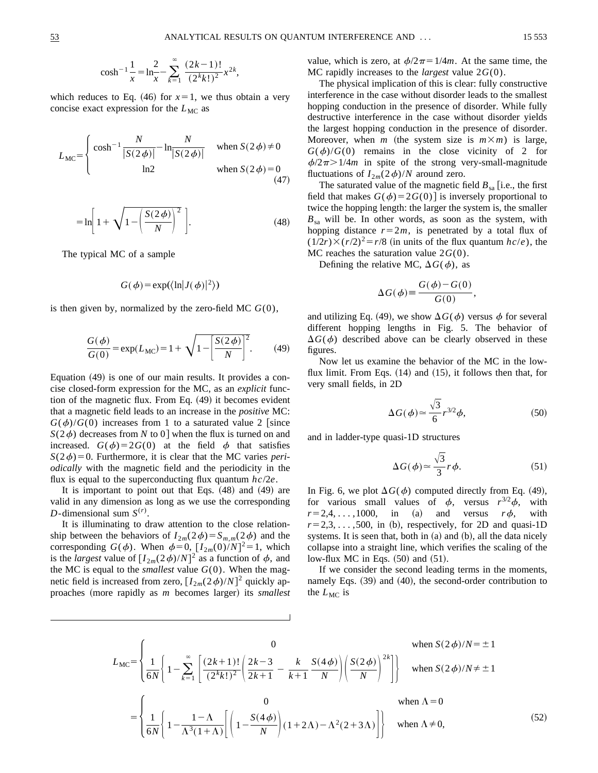$$
\cosh^{-1}\frac{1}{x} = \ln \frac{2}{x} - \sum_{k=1}^{\infty} \frac{(2k-1)!}{(2^k k!)^2} x^{2k},
$$

which reduces to Eq.  $(46)$  for  $x=1$ , we thus obtain a very concise exact expression for the  $L_{MC}$  as

$$
L_{\rm MC} = \begin{cases} \cosh^{-1} \frac{N}{|S(2\phi)|} - \ln \frac{N}{|S(2\phi)|} & \text{when } S(2\phi) \neq 0\\ \ln 2 & \text{when } S(2\phi) = 0 \end{cases} \tag{47}
$$

$$
= \ln \left[ 1 + \sqrt{1 - \left( \frac{S(2\phi)}{N} \right)^2} \right].
$$
 (48)

The typical MC of a sample

$$
G(\phi) = \exp(\langle \ln |J(\phi)|^2 \rangle)
$$

is then given by, normalized by the zero-field MC *G*(0),

$$
\frac{G(\phi)}{G(0)} = \exp(L_{MC}) = 1 + \sqrt{1 - \left[\frac{S(2\phi)}{N}\right]^2}.
$$
 (49)

Equation  $(49)$  is one of our main results. It provides a concise closed-form expression for the MC, as an *explicit* function of the magnetic flux. From Eq.  $(49)$  it becomes evident that a magnetic field leads to an increase in the *positive* MC:  $G(\phi)/G(0)$  increases from 1 to a saturated value 2 [since  $S(2\phi)$  decreases from *N* to 0 when the flux is turned on and increased.  $G(\phi)=2G(0)$  at the field  $\phi$  that satisfies  $S(2\phi)=0$ . Furthermore, it is clear that the MC varies *periodically* with the magnetic field and the periodicity in the flux is equal to the superconducting flux quantum *hc*/2*e*.

It is important to point out that Eqs.  $(48)$  and  $(49)$  are valid in any dimension as long as we use the corresponding *D*-dimensional sum  $S^{(r)}$ .

It is illuminating to draw attention to the close relationship between the behaviors of  $I_{2m}(2\phi) = S_{m,m}(2\phi)$  and the corresponding  $G(\phi)$ . When  $\phi=0$ ,  $[I_{2m}(0)/N]^2=1$ , which is the *largest* value of  $[I_{2m}(2\phi)/N]^2$  as a function of  $\phi$ , and the MC is equal to the *smallest* value  $G(0)$ . When the magnetic field is increased from zero,  $[I_{2m}(2\phi)/N]^2$  quickly approaches (more rapidly as *m* becomes larger) its *smallest*  value, which is zero, at  $\phi/2\pi=1/4m$ . At the same time, the MC rapidly increases to the *largest* value 2*G*(0).

The physical implication of this is clear: fully constructive interference in the case without disorder leads to the smallest hopping conduction in the presence of disorder. While fully destructive interference in the case without disorder yields the largest hopping conduction in the presence of disorder. Moreover, when *m* (the system size is  $m \times m$ ) is large,  $G(\phi)/G(0)$  remains in the close vicinity of 2 for  $\phi/2\pi$  = 1/4*m* in spite of the strong very-small-magnitude fluctuations of  $I_{2m}(2\phi)/N$  around zero.

The saturated value of the magnetic field  $B_{sa}$  [i.e., the first field that makes  $G(\phi)=2G(0)$  is inversely proportional to twice the hopping length: the larger the system is, the smaller  $B_{sa}$  will be. In other words, as soon as the system, with hopping distance  $r=2m$ , is penetrated by a total flux of  $(1/2r)\times (r/2)^2 = r/8$  (in units of the flux quantum  $hc/e$ ), the MC reaches the saturation value  $2G(0)$ .

Defining the relative MC,  $\Delta G(\phi)$ , as

$$
\Delta G(\phi) \! = \! \frac{G(\phi) \! - \! G(0)}{G(0)},
$$

and utilizing Eq. (49), we show  $\Delta G(\phi)$  versus  $\phi$  for several different hopping lengths in Fig. 5. The behavior of  $\Delta G(\phi)$  described above can be clearly observed in these figures.

Now let us examine the behavior of the MC in the lowflux limit. From Eqs.  $(14)$  and  $(15)$ , it follows then that, for very small fields, in 2D

$$
\Delta G(\phi) \simeq \frac{\sqrt{3}}{6} r^{3/2} \phi,\tag{50}
$$

and in ladder-type quasi-1D structures

$$
\Delta G(\phi) \simeq \frac{\sqrt{3}}{3} r \phi. \tag{51}
$$

In Fig. 6, we plot  $\Delta G(\phi)$  computed directly from Eq. (49), for various small values of  $\phi$ , versus  $r^{3/2}\phi$ , with  $r=2,4,\ldots,1000$ , in (a) and versus  $r\phi$ , with  $r=2,3,\ldots,500$ , in (b), respectively, for 2D and quasi-1D systems. It is seen that, both in  $(a)$  and  $(b)$ , all the data nicely collapse into a straight line, which verifies the scaling of the low-flux MC in Eqs.  $(50)$  and  $(51)$ .

If we consider the second leading terms in the moments, namely Eqs.  $(39)$  and  $(40)$ , the second-order contribution to the  $L_{MC}$  is

$$
L_{\rm MC} = \begin{cases} 0 & \text{when } S(2\phi)/N = \pm 1\\ \frac{1}{6N} \left\{ 1 - \sum_{k=1}^{\infty} \left[ \frac{(2k+1)!}{(2^k k!)^2} \left( \frac{2k-3}{2k+1} - \frac{k}{k+1} \frac{S(4\phi)}{N} \right) \left( \frac{S(2\phi)}{N} \right)^{2k} \right] \right\} & \text{when } S(2\phi)/N \neq \pm 1 \end{cases}
$$

$$
= \begin{cases} 0 & \text{when } \Lambda = 0\\ \frac{1}{6N} \left\{ 1 - \frac{1-\Lambda}{\Lambda^3(1+\Lambda)} \left[ \left( 1 - \frac{S(4\phi)}{N} \right) (1+2\Lambda) - \Lambda^2 (2+3\Lambda) \right] \right\} & \text{when } \Lambda \neq 0, \end{cases}
$$
(52)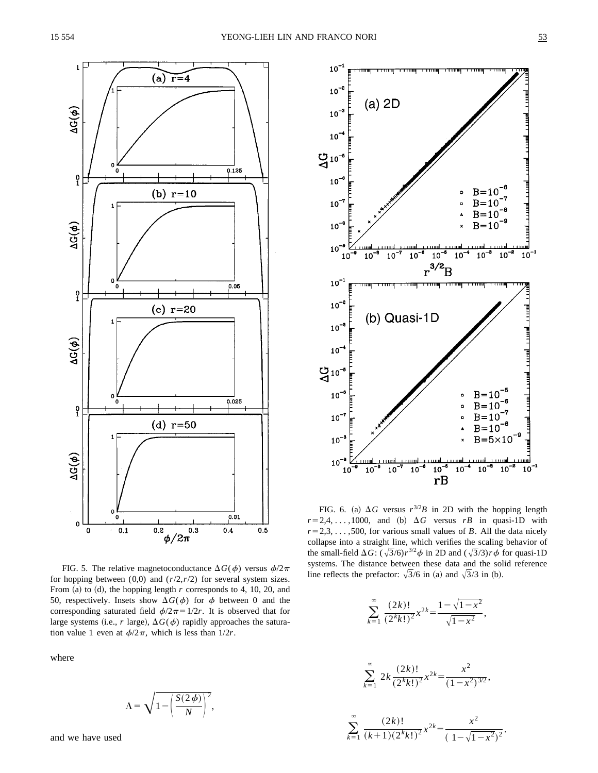

FIG. 5. The relative magnetoconductance  $\Delta G(\phi)$  versus  $\phi/2\pi$ for hopping between  $(0,0)$  and  $(r/2, r/2)$  for several system sizes. From  $(a)$  to  $(d)$ , the hopping length  $r$  corresponds to 4, 10, 20, and 50, respectively. Insets show  $\Delta G(\phi)$  for  $\phi$  between 0 and the corresponding saturated field  $\phi/2\pi=1/2r$ . It is observed that for large systems (i.e., *r* large),  $\Delta G(\phi)$  rapidly approaches the saturation value 1 even at  $\phi/2\pi$ , which is less than  $1/2r$ .

where

$$
\Lambda = \sqrt{1 - \left(\frac{S(2\phi)}{N}\right)^2},
$$

and we have used



FIG. 6. (a)  $\Delta G$  versus  $r^{3/2}B$  in 2D with the hopping length  $r=2,4,\ldots,1000$ , and (b)  $\Delta G$  versus *rB* in quasi-1D with  $r=2,3, \ldots, 500$ , for various small values of *B*. All the data nicely collapse into a straight line, which verifies the scaling behavior of the small-field  $\Delta G$ :  $(\sqrt{3}/6)r^{3/2}\phi$  in 2D and  $(\sqrt{3}/3)r\phi$  for quasi-1D systems. The distance between these data and the solid reference line reflects the prefactor:  $\sqrt{3}/6$  in (a) and  $\sqrt{3}/3$  in (b).

$$
\sum_{k=1}^{\infty} \frac{(2k)!}{(2^k k!)^2} x^{2k} = \frac{1 - \sqrt{1 - x^2}}{\sqrt{1 - x^2}},
$$

$$
\sum_{k=1}^{\infty} 2k \frac{(2k)!}{(2^k k!)^2} x^{2k} = \frac{x^2}{(1-x^2)^{3/2}},
$$

$$
\sum_{k=1}^{\infty} \frac{(2k)!}{(k+1)(2^k k!)^2} x^{2k} = \frac{x^2}{(1-\sqrt{1-x^2})^2}.
$$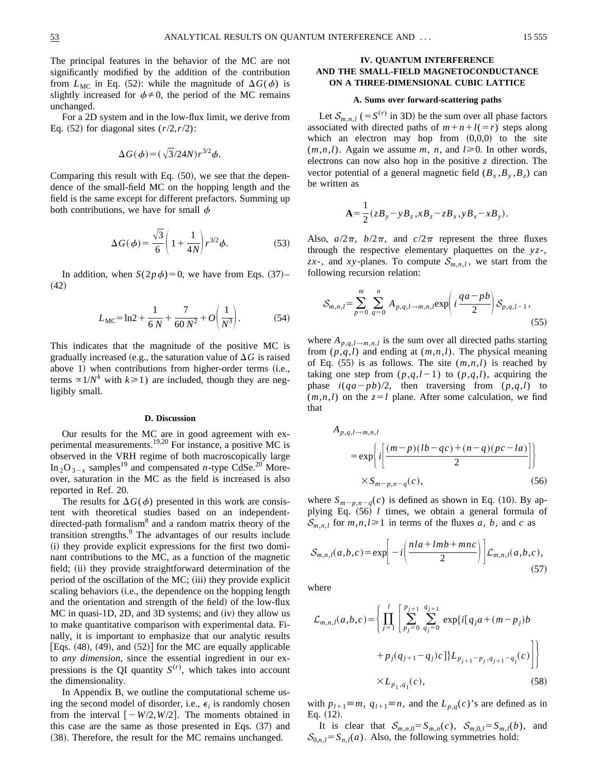The principal features in the behavior of the MC are not significantly modified by the addition of the contribution from  $L_{MC}$  in Eq. (52): while the magnitude of  $\Delta G(\phi)$  is slightly increased for  $\phi \neq 0$ , the period of the MC remains unchanged.

For a 2D system and in the low-flux limit, we derive from Eq.  $(52)$  for diagonal sites  $(r/2, r/2)$ :

$$
\Delta G(\phi) = (\sqrt{3}/24N)r^{3/2}\phi.
$$

Comparing this result with Eq.  $(50)$ , we see that the dependence of the small-field MC on the hopping length and the field is the same except for different prefactors. Summing up both contributions, we have for small  $\phi$ 

$$
\Delta G(\phi) = \frac{\sqrt{3}}{6} \left( 1 + \frac{1}{4N} \right) r^{3/2} \phi. \tag{53}
$$

In addition, when  $S(2p\phi)=0$ , we have from Eqs. (37)–  $(42)$ 

$$
L_{\rm MC} = \ln 2 + \frac{1}{6N} + \frac{7}{60N^2} + O\left(\frac{1}{N^3}\right). \tag{54}
$$

This indicates that the magnitude of the positive MC is gradually increased (e.g., the saturation value of  $\Delta G$  is raised above 1) when contributions from higher-order terms  $(i.e.,$ terms  $\propto 1/N^k$  with  $k \ge 1$ ) are included, though they are negligibly small.

## **D. Discussion**

Our results for the MC are in good agreement with experimental measurements.19,20 For instance, a positive MC is observed in the VRH regime of both macroscopically large In  $2O_{3-x}$  samples<sup>19</sup> and compensated *n*-type CdSe.<sup>20</sup> Moreover, saturation in the MC as the field is increased is also reported in Ref. 20.

The results for  $\Delta G(\phi)$  presented in this work are consistent with theoretical studies based on an independentdirected-path formalism<sup>8</sup> and a random matrix theory of the transition strengths.<sup>9</sup> The advantages of our results include (i) they provide explicit expressions for the first two dominant contributions to the MC, as a function of the magnetic field; (ii) they provide straightforward determination of the period of the oscillation of the MC; (iii) they provide explicit scaling behaviors (i.e., the dependence on the hopping length and the orientation and strength of the field) of the low-flux  $MC$  in quasi-1D, 2D, and 3D systems; and  $(iv)$  they allow us to make quantitative comparison with experimental data. Finally, it is important to emphasize that our analytic results [Eqs.  $(48)$ ,  $(49)$ , and  $(52)$ ] for the MC are equally applicable to *any dimension*, since the essential ingredient in our expressions is the QI quantity  $S^{(r)}$ , which takes into account the dimensionality.

In Appendix B, we outline the computational scheme using the second model of disorder, i.e.,  $\epsilon_i$  is randomly chosen from the interval  $[-W/2, W/2]$ . The moments obtained in this case are the same as those presented in Eqs.  $(37)$  and  $(38)$ . Therefore, the result for the MC remains unchanged.

# **IV. QUANTUM INTERFERENCE AND THE SMALL-FIELD MAGNETOCONDUCTANCE ON A THREE-DIMENSIONAL CUBIC LATTICE**

#### **A. Sums over forward-scattering paths**

Let  $S_{m,n,l}$  (=  $S^{(r)}$  in 3D) be the sum over all phase factors associated with directed paths of  $m+n+l(=r)$  steps along which an electron may hop from  $(0,0,0)$  to the site  $(m, n, l)$ . Again we assume *m*, *n*, and  $l \ge 0$ . In other words, electrons can now also hop in the positive *z* direction. The vector potential of a general magnetic field  $(B_x, B_y, B_z)$  can be written as

$$
\mathbf{A} = \frac{1}{2} (zB_y - yB_z, xB_z - zB_x, yB_x - xB_y).
$$

Also,  $a/2\pi$ ,  $b/2\pi$ , and  $c/2\pi$  represent the three fluxes through the respective elementary plaquettes on the *yz*-, *zx*-, and *xy*-planes. To compute  $S_{m,n,l}$ , we start from the following recursion relation:

$$
S_{m,n,l} = \sum_{p=0}^{m} \sum_{q=0}^{n} A_{p,q,l \to m,n,l} \exp\left(i \frac{qa - pb}{2}\right) S_{p,q,l-1},\tag{55}
$$

where  $A_{p,q,l\rightarrow m,n,l}$  is the sum over all directed paths starting from  $(p,q,l)$  and ending at  $(m,n,l)$ . The physical meaning of Eq.  $(55)$  is as follows. The site  $(m,n,l)$  is reached by taking one step from  $(p,q,l-1)$  to  $(p,q,l)$ , acquiring the phase  $i(qa-pb)/2$ , then traversing from  $(p,q,l)$  to  $(m, n, l)$  on the  $z = l$  plane. After some calculation, we find that

$$
A_{p,q,l\to m,n,l}
$$
  
= exp $\left\{i\left[\frac{(m-p)(lb-qc)+(n-q)(pc-la)}{2}\right]\right\}$   
× $S_{m-p,n-q}(c)$ , (56)

where  $S_{m-p,n-q}(c)$  is defined as shown in Eq. (10). By applying Eq.  $(56)$  *l* times, we obtain a general formula of  $S_{m,n,l}$  for  $m,n,l \geq 1$  in terms of the fluxes *a*, *b*, and *c* as

$$
S_{m,n,l}(a,b,c) = \exp\left[-i\left(\frac{nla + Imb + mnc}{2}\right)\right] \mathcal{L}_{m,n,l}(a,b,c),\tag{57}
$$

where

$$
\mathcal{L}_{m,n,l}(a,b,c) = \left\{ \prod_{j=1}^{l} \left[ \sum_{p_j=0}^{p_{j+1}} \sum_{q_j=0}^{q_{j+1}} \exp\{i[q_j a + (m-p_j) b + p_j(q_{j+1}-q_j)c]\} L_{p_{j+1}-p_j,q_{j+1}-q_j}(c) \right] \right\}
$$
  
× $L_{p_1,q_1}(c)$ , (58)

with  $p_{l+1} \equiv m$ ,  $q_{l+1} \equiv n$ , and the  $L_{p,q}(c)$ 's are defined as in Eq.  $(12)$ .

It is clear that  $S_{m,n,0} = S_{m,n}(c)$ ,  $S_{m,0,l} = S_{m,l}(b)$ , and  $S_{0,n,l} = S_{n,l}(a)$ . Also, the following symmetries hold: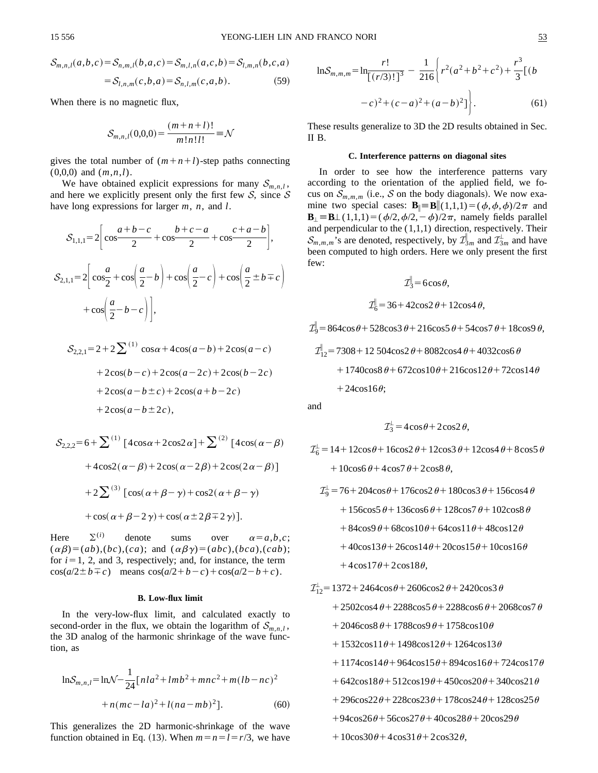$$
S_{m,n,l}(a,b,c) = S_{n,m,l}(b,a,c) = S_{m,l,n}(a,c,b) = S_{l,m,n}(b,c,a)
$$

$$
= S_{l,n,m}(c,b,a) = S_{n,l,m}(c,a,b).
$$
(59)

When there is no magnetic flux,

$$
S_{m,n,l}(0,0,0) = \frac{(m+n+l)!}{m!n!l!} \equiv \mathcal{N}
$$

gives the total number of  $(m+n+1)$ -step paths connecting (0,0,0) and (*m*,*n*,*l*).

We have obtained explicit expressions for many  $S_{m,n,l}$ , and here we explicitly present only the first few  $S$ , since  $S$ have long expressions for larger *m*, *n*, and *l*.

$$
S_{1,1,1} = 2\left[\cos\frac{a+b-c}{2} + \cos\frac{b+c-a}{2} + \cos\frac{c+a-b}{2}\right],
$$
  

$$
S_{2,1,1} = 2\left[\cos\frac{a}{2} + \cos\left(\frac{a}{2} - b\right) + \cos\left(\frac{a}{2} - c\right) + \cos\left(\frac{a}{2} \pm b \mp c\right) + \cos\left(\frac{a}{2} - b - c\right)\right],
$$

$$
S_{2,2,1} = 2 + 2 \sum^{(1)} \cos \alpha + 4 \cos(a - b) + 2 \cos(a - c)
$$
  
+2\cos(b - c) + 2\cos(a - 2c) + 2\cos(b - 2c)  
+2\cos(a - b \pm c) + 2\cos(a + b - 2c)  
+2\cos(a - b \pm 2c),

$$
S_{2,2,2} = 6 + \sum^{(1)} \left[ 4\cos\alpha + 2\cos 2\alpha \right] + \sum^{(2)} \left[ 4\cos(\alpha - \beta) + 4\cos 2(\alpha - \beta) + 2\cos(\alpha - 2\beta) + 2\cos(2\alpha - \beta) \right]
$$

$$
+ 2\sum^{(3)} \left[ \cos(\alpha + \beta - \gamma) + \cos 2(\alpha + \beta - \gamma) + \cos(\alpha + \beta - 2\gamma) + \cos(\alpha \pm 2\beta \mp 2\gamma) \right].
$$

Here  $\Sigma^{(i)}$  denote sums over  $\alpha=a,b,c;$  $(\alpha\beta)=(ab),(bc),(ca);$  and  $(\alpha\beta\gamma)=(abc),(bca),(cab);$ for  $i=1, 2$ , and 3, respectively; and, for instance, the term  $\cos(a/2 \pm b \mp c)$  means  $\cos(a/2+b-c)+\cos(a/2-b+c)$ .

# **B. Low-flux limit**

In the very-low-flux limit, and calculated exactly to second-order in the flux, we obtain the logarithm of  $S_{m,n,l}$ , the 3D analog of the harmonic shrinkage of the wave function, as

$$
\ln S_{m,n,l} = \ln \mathcal{N} - \frac{1}{24} [nla^2 + Imb^2 + mnc^2 + m(lb - nc)^2
$$
  
+  $n(mc - la)^2 + l(na - mb)^2$ ]. (60)

This generalizes the 2D harmonic-shrinkage of the wave function obtained in Eq. (13). When  $m = n = l = r/3$ , we have

$$
\ln S_{m,m,m} = \ln \frac{r!}{[(r/3)!]^3} - \frac{1}{216} \left\{ r^2 (a^2 + b^2 + c^2) + \frac{r^3}{3} [(b - c)^2 + (c - a)^2 + (a - b)^2] \right\}.
$$
 (61)

These results generalize to 3D the 2D results obtained in Sec. II B.

### **C. Interference patterns on diagonal sites**

In order to see how the interference patterns vary according to the orientation of the applied field, we focus on  $S_{m,m,m}$  (i.e., S on the body diagonals). We now examine two special cases:  $\mathbf{B}_{\parallel} \equiv \mathbf{B} \parallel (1,1,1) = (\phi, \phi, \phi)/2\pi$  and  $\mathbf{B}_{\perp}$  =  $\mathbf{B}_{\perp}(1,1,1) = (\phi/2,\phi/2,-\phi)/2\pi$ , namely fields parallel and perpendicular to the  $(1,1,1)$  direction, respectively. Their  $S_{m,m,m}$ 's are denoted, respectively, by  $\mathcal{I}_{3m}^{\parallel}$  and  $\mathcal{I}_{3m}^{\perp}$  and have been computed to high orders. Here we only present the first few:

$$
\mathcal{I}_3^{\parallel} = 6\cos\theta,
$$
  

$$
\mathcal{I}_6^{\parallel} = 36 + 42\cos 2\theta + 12\cos 4\theta,
$$

$$
\mathcal{I}_9^{\parallel} = 864\cos\theta + 528\cos3\theta + 216\cos5\theta + 54\cos7\theta + 18\cos9\theta,
$$

$$
\mathcal{I}_{12}^{\parallel} = 7308 + 12\ 504\cos 2\theta + 8082\cos 4\theta + 4032\cos 6\theta
$$
  
+ 1740\cos 8\theta + 672\cos 10\theta + 216\cos 12\theta + 72\cos 14\theta  
+ 24\cos 16\theta;

and

$$
\mathcal{I}_3^{\perp} = 4\cos\theta + 2\cos 2\theta,
$$

- $\mathcal{I}_6^{\perp}$  = 14 + 12cos  $\theta$  + 16cos2  $\theta$  + 12cos3  $\theta$  + 12cos4  $\theta$  + 8cos5  $\theta$  $+10\cos\theta+4\cos7\theta+2\cos8\theta$ ,
	- $\mathcal{I}_9^{\perp}$  = 76 + 204 $\cos\theta$  + 176 $\cos2\theta$  + 180 $\cos3\theta$  + 156 $\cos4\theta$  $+156\cos 5\theta + 136\cos 6\theta + 128\cos 7\theta + 102\cos 8\theta$ 
		- $+84\cos9\theta+68\cos10\theta+64\cos11\theta+48\cos12\theta$
		- $+40\cos13\theta+26\cos14\theta+20\cos15\theta+10\cos16\theta$
		- $+4\cos 17\theta + 2\cos 18\theta$ ,

 $\mathcal{I}_{12}^{\perp}$  = 1372 + 2464cos  $\theta$  + 2606cos2  $\theta$  + 2420cos3  $\theta$ 

- $+2502\cos 4\theta + 2288\cos 5\theta + 2288\cos 6\theta + 2068\cos 7\theta$
- $+2046\cos\theta+1788\cos\theta+1758\cos10\theta$
- $+1532\cos 11\theta + 1498\cos 12\theta + 1264\cos 13\theta$
- $+1174\cos 14\theta + 964\cos 15\theta + 894\cos 16\theta + 724\cos 17\theta$
- $+642\cos 18\theta + 512\cos 19\theta + 450\cos 20\theta + 340\cos 21\theta$
- $+296\cos 22\theta + 228\cos 23\theta + 178\cos 24\theta + 128\cos 25\theta$
- $+94\cos26\theta+56\cos27\theta+40\cos28\theta+20\cos29\theta$
- $+10\cos30\theta+4\cos31\theta+2\cos32\theta$ ,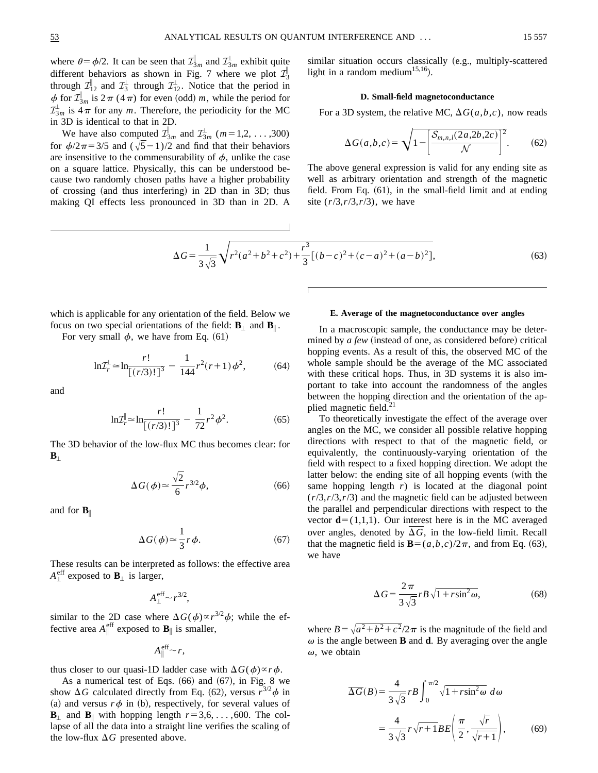where  $\theta = \phi/2$ . It can be seen that  $\mathcal{I}_{3m}^{\parallel}$  and  $\mathcal{I}_{3m}^{\perp}$  exhibit quite different behaviors as shown in Fig. 7 where we plot  $\mathcal{I}_{3}^{\parallel}$ through  $\mathcal{I}_{12}^{\parallel}$  and  $\mathcal{I}_{3}^{\perp}$  through  $\mathcal{I}_{12}^{\perp}$ . Notice that the period in  $\phi$  for  $\mathcal{I}_{3m}^{\parallel}$  is  $2\pi$  (4 $\pi$ ) for even (odd) *m*, while the period for  $\mathcal{I}_{3m}^{\perp}$  is  $4\pi$  for any *m*. Therefore, the periodicity for the MC in 3D is identical to that in 2D.

We have also computed  $\mathcal{I}_{3m}^{\parallel}$  and  $\mathcal{I}_{3m}^{\perp}$  (*m* = 1,2, . . . ,300) for  $\phi/2\pi$ =3/5 and  $(\sqrt{5}-1)/2$  and find that their behaviors are insensitive to the commensurability of  $\phi$ , unlike the case on a square lattice. Physically, this can be understood because two randomly chosen paths have a higher probability of crossing (and thus interfering) in 2D than in 3D; thus making QI effects less pronounced in 3D than in 2D. A similar situation occurs classically (e.g., multiply-scattered light in a random medium<sup>15,16</sup>).

### **D. Small-field magnetoconductance**

For a 3D system, the relative MC,  $\Delta G(a,b,c)$ , now reads

$$
\Delta G(a,b,c) = \sqrt{1 - \left[\frac{\mathcal{S}_{m,n,l}(2a,2b,2c)}{\mathcal{N}}\right]^2}.
$$
 (62)

The above general expression is valid for any ending site as well as arbitrary orientation and strength of the magnetic field. From Eq.  $(61)$ , in the small-field limit and at ending site  $(r/3, r/3, r/3)$ , we have

$$
\Delta G = \frac{1}{3\sqrt{3}}\sqrt{r^2(a^2+b^2+c^2)+\frac{r^3}{3}[(b-c)^2+(c-a)^2+(a-b)^2]},
$$
\n(63)

which is applicable for any orientation of the field. Below we focus on two special orientations of the field:  $\mathbf{B}_{\parallel}$  and  $\mathbf{B}_{\parallel}$ .

For very small  $\phi$ , we have from Eq. (61)

$$
\ln \mathcal{I}_r^{\perp} \approx \ln \frac{r!}{\left[ (r/3)! \right]^3} - \frac{1}{144} r^2 (r+1) \phi^2, \tag{64}
$$

and

$$
\ln \mathcal{I}_r^{\parallel} \approx \ln \frac{r!}{[(r/3)!]^3} - \frac{1}{72} r^2 \phi^2.
$$
 (65)

The 3D behavior of the low-flux MC thus becomes clear: for  $B_{\perp}$ 

$$
\Delta G(\phi) \simeq \frac{\sqrt{2}}{6} r^{3/2} \phi,\tag{66}
$$

and for  $\mathbf{B}_{\parallel}$ 

$$
\Delta G(\phi) \approx \frac{1}{3} r \phi. \tag{67}
$$

These results can be interpreted as follows: the effective area  $A_{\perp}^{\text{eff}}$  exposed to  $\mathbf{B}_{\perp}$  is larger,

$$
A_{\perp}^{\mathrm{eff}}\sim r^{3/2},
$$

similar to the 2D case where  $\Delta G(\phi) \propto r^{3/2}\phi$ ; while the effective area  $A_{\parallel}^{\text{eff}}$  exposed to  $\mathbf{B}_{\parallel}$  is smaller,

$$
A_{\parallel}^{\text{eff}}\sim r,
$$

thus closer to our quasi-1D ladder case with  $\Delta G(\phi) \propto r \phi$ .

As a numerical test of Eqs.  $(66)$  and  $(67)$ , in Fig. 8 we show  $\Delta G$  calculated directly from Eq. (62), versus  $r^{3/2}\phi$  in (a) and versus  $r\phi$  in (b), respectively, for several values of **B**<sub>i</sub> and **B**<sub>i</sub> with hopping length  $r=3,6,\ldots,600$ . The collapse of all the data into a straight line verifies the scaling of the low-flux  $\Delta G$  presented above.

#### **E. Average of the magnetoconductance over angles**

In a macroscopic sample, the conductance may be determined by *a few* (instead of one, as considered before) critical hopping events. As a result of this, the observed MC of the whole sample should be the average of the MC associated with these critical hops. Thus, in 3D systems it is also important to take into account the randomness of the angles between the hopping direction and the orientation of the applied magnetic field. $^{21}$ 

To theoretically investigate the effect of the average over angles on the MC, we consider all possible relative hopping directions with respect to that of the magnetic field, or equivalently, the continuously-varying orientation of the field with respect to a fixed hopping direction. We adopt the latter below: the ending site of all hopping events (with the same hopping length  $r$ ) is located at the diagonal point  $(r/3, r/3, r/3)$  and the magnetic field can be adjusted between the parallel and perpendicular directions with respect to the vector  $\mathbf{d}=(1,1,1)$ . Our interest here is in the MC averaged over angles, denoted by  $\Delta G$ , in the low-field limit. Recall that the magnetic field is  $\mathbf{B}=(a,b,c)/2\pi$ , and from Eq. (63), we have

$$
\Delta G = \frac{2\pi}{3\sqrt{3}} rB\sqrt{1 + r\sin^2\omega},\tag{68}
$$

where  $B=\sqrt{a^2+b^2+c^2}/2\pi$  is the magnitude of the field and  $\omega$  is the angle between **B** and **d**. By averaging over the angle  $\omega$ , we obtain

$$
\overline{\Delta G}(B) = \frac{4}{3\sqrt{3}} rB \int_0^{\pi/2} \sqrt{1 + r\sin^2 \omega} d\omega
$$

$$
= \frac{4}{3\sqrt{3}} r\sqrt{r+1} BE\left(\frac{\pi}{2}, \frac{\sqrt{r}}{\sqrt{r+1}}\right), \qquad (69)
$$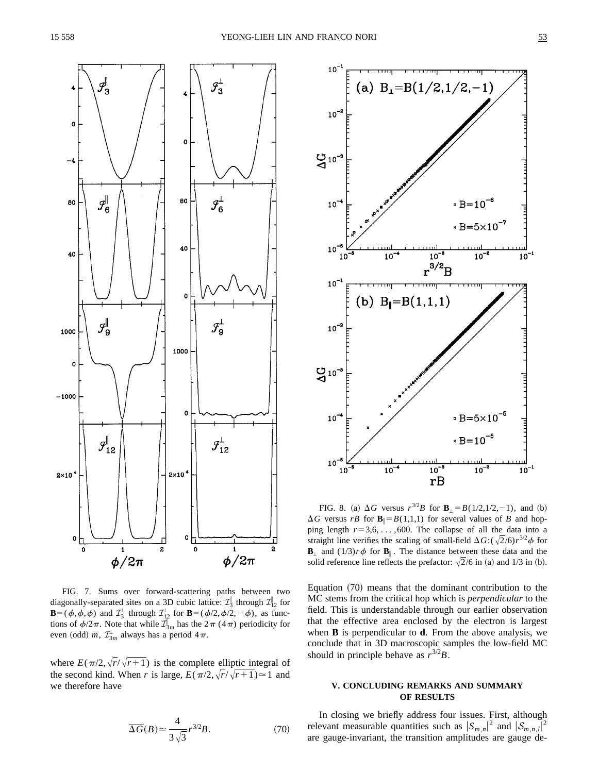

FIG. 7. Sums over forward-scattering paths between two diagonally-separated sites on a 3D cubic lattice:  $\mathcal{I}_{3}^{\parallel}$  through  $\mathcal{I}_{12}^{\parallel}$  for **B**=( $\phi$ , $\phi$ , $\phi$ ) and  $\mathcal{I}_{3}^{\perp}$  through  $\mathcal{I}_{1,2}^{\perp}$  for **B**=( $\phi$ /2, $\phi$ /2, $-\phi$ ), as functions of  $\phi/2\pi$ . Note that while  $\mathcal{I}_{3m}^{\parallel}$  has the  $2\pi$  (4 $\pi$ ) periodicity for even (odd)  $m, T_{3m}^{\perp}$  always has a period  $4\pi$ .

where  $E(\pi/2,\sqrt{r}/\sqrt{r+1})$  is the complete elliptic integral of the second kind. When *r* is large,  $E(\pi/2, \sqrt{r}/\sqrt{r+1}) \approx 1$  and we therefore have

$$
\overline{\Delta G}(B) \simeq \frac{4}{3\sqrt{3}} r^{3/2} B. \tag{70}
$$



FIG. 8. (a)  $\Delta G$  versus  $r^{3/2}B$  for  $B_{\perp} = B(1/2,1/2,-1)$ , and (b)  $\Delta G$  versus *rB* for **B**<sub>|</sub> $= B(1,1,1)$  for several values of *B* and hopping length  $r=3,6,\ldots,600$ . The collapse of all the data into a straight line verifies the scaling of small-field  $\Delta G$ :( $\sqrt{2}/6$ )*r*<sup>3/2</sup> $\phi$  for **B**<sub> $\perp$ </sub> and  $(1/3)r\phi$  for **B**<sub>||</sub>. The distance between these data and the solid reference line reflects the prefactor:  $\sqrt{2}/6$  in (a) and 1/3 in (b).

Equation  $(70)$  means that the dominant contribution to the MC stems from the critical hop which is *perpendicular* to the field. This is understandable through our earlier observation that the effective area enclosed by the electron is largest when **B** is perpendicular to **d**. From the above analysis, we conclude that in 3D macroscopic samples the low-field MC should in principle behave as  $r^{3/2}B$ .

# **V. CONCLUDING REMARKS AND SUMMARY OF RESULTS**

In closing we briefly address four issues. First, although relevant measurable quantities such as  $|S_{m,n}|^2$  and  $|S_{m,n}|^2$ are gauge-invariant, the transition amplitudes are gauge de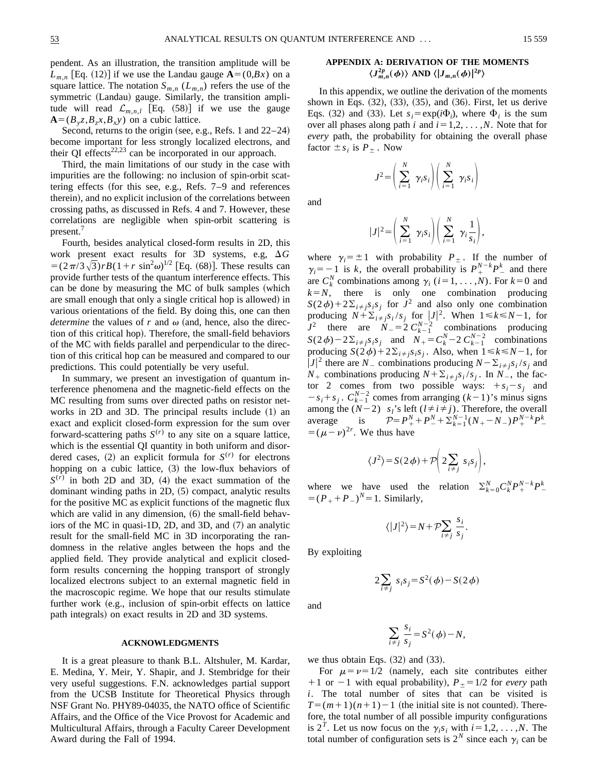pendent. As an illustration, the transition amplitude will be  $L_{m,n}$  [Eq. (12)] if we use the Landau gauge  $\mathbf{A}=(0,Bx)$  on a square lattice. The notation  $S_{m,n}$  ( $L_{m,n}$ ) refers the use of the symmetric (Landau) gauge. Similarly, the transition amplitude will read  $\mathcal{L}_{m,n,l}$  [Eq. (58)] if we use the gauge  $A=(B_yz, B_zx, B_xy)$  on a cubic lattice.

Second, returns to the origin (see, e.g., Refs. 1 and  $22-24$ ) become important for less strongly localized electrons, and their QI effects<sup>22,23</sup> can be incorporated in our approach.

Third, the main limitations of our study in the case with impurities are the following: no inclusion of spin-orbit scattering effects (for this see, e.g., Refs.  $7-9$  and references therein), and no explicit inclusion of the correlations between crossing paths, as discussed in Refs. 4 and 7. However, these correlations are negligible when spin-orbit scattering is present.

Fourth, besides analytical closed-form results in 2D, this work present exact results for 3D systems, e.g,  $\Delta G$  $=(2\pi/3\sqrt{3})rB(1+r\sin^2\omega)^{1/2}$  [Eq. (68)]. These results can provide further tests of the quantum interference effects. This can be done by measuring the MC of bulk samples (which are small enough that only a single critical hop is allowed) in various orientations of the field. By doing this, one can then *determine* the values of  $r$  and  $\omega$  (and, hence, also the direction of this critical hop). Therefore, the small-field behaviors of the MC with fields parallel and perpendicular to the direction of this critical hop can be measured and compared to our predictions. This could potentially be very useful.

In summary, we present an investigation of quantum interference phenomena and the magnetic-field effects on the MC resulting from sums over directed paths on resistor networks in  $2D$  and  $3D$ . The principal results include  $(1)$  and exact and explicit closed-form expression for the sum over forward-scattering paths  $S^{(r)}$  to any site on a square lattice, which is the essential QI quantity in both uniform and disordered cases,  $(2)$  an explicit formula for  $S^{(r)}$  for electrons hopping on a cubic lattice,  $(3)$  the low-flux behaviors of  $S^{(r)}$  in both 2D and 3D, (4) the exact summation of the dominant winding paths in  $2D$ ,  $(5)$  compact, analytic results for the positive MC as explicit functions of the magnetic flux which are valid in any dimension,  $(6)$  the small-field behaviors of the MC in quasi-1D, 2D, and 3D, and  $(7)$  an analytic result for the small-field MC in 3D incorporating the randomness in the relative angles between the hops and the applied field. They provide analytical and explicit closedform results concerning the hopping transport of strongly localized electrons subject to an external magnetic field in the macroscopic regime. We hope that our results stimulate further work (e.g., inclusion of spin-orbit effects on lattice path integrals) on exact results in 2D and 3D systems.

#### **ACKNOWLEDGMENTS**

It is a great pleasure to thank B.L. Altshuler, M. Kardar, E. Medina, Y. Meir, Y. Shapir, and J. Stembridge for their very useful suggestions. F.N. acknowledges partial support from the UCSB Institute for Theoretical Physics through NSF Grant No. PHY89-04035, the NATO office of Scientific Affairs, and the Office of the Vice Provost for Academic and Multicultural Affairs, through a Faculty Career Development Award during the Fall of 1994.

# **APPENDIX A: DERIVATION OF THE MOMENTS**  $\langle J_{m,n}^{2p}(\boldsymbol{\phi})\rangle$  and  $\langle |J_{m,n}(\boldsymbol{\phi})|^{2p}\rangle$

In this appendix, we outline the derivation of the moments shown in Eqs.  $(32)$ ,  $(33)$ ,  $(35)$ , and  $(36)$ . First, let us derive Eqs. (32) and (33). Let  $s_i = \exp(i\Phi_i)$ , where  $\Phi_i$  is the sum over all phases along path *i* and  $i=1,2,\ldots,N$ . Note that for *every* path, the probability for obtaining the overall phase factor  $\pm s_i$  is  $P_{\pm}$ . Now

$$
J^{2} = \left(\sum_{i=1}^{N} \gamma_{i} s_{i}\right) \left(\sum_{i=1}^{N} \gamma_{i} s_{i}\right)
$$

and

$$
|J|^2 = \left(\sum_{i=1}^N \gamma_i s_i\right) \left(\sum_{i=1}^N \gamma_i \frac{1}{s_i}\right),
$$

where  $\gamma_i = \pm 1$  with probability  $P_{\pm}$ . If the number of  $\gamma_i = -1$  is *k*, the overall probability is  $P_+^{N-k}P_-^k$  and there are  $C_k^N$  combinations among  $\gamma_i$  ( $i=1,\ldots,N$ ). For  $k=0$  and  $k=N$ , there is only one combination producing  $S(2\phi) + 2\Sigma_{i \neq j} s_i s_j$  for  $J^2$  and also only one combination producing  $N + \sum_{i \neq j}^{j} s_i / s_j$  for  $|J|^2$ . When  $1 \le k \le N - 1$ , for *J*<sup>2</sup> there are  $N_{-} = 2 C_{k-1}^{N-2}$  combinations producing  $S(2\phi) - 2\Sigma_{i \neq j} s_i s_j$  and  $N_+ = C_k^N - 2 C_{k-1}^{N-2}$  combinations producing  $S(2\phi) + 2\Sigma_{i \neq j} s_i s_j$ . Also, when  $1 \le k \le N-1$ , for  $|J|^2$  there are *N* – combinations producing  $N-\sum_{i\neq j}s_i/s_j$  and  $N_+$  combinations producing  $N + \sum_{i \neq j} s_i / s_j$ . In  $N_-$ , the factor 2 comes from two possible ways:  $+s_i-s_j$  and  $-s_i+s_j$ .  $C_{k-1}^{N-2}$  comes from arranging  $(k-1)$ 's minus signs among the  $(N-2)$  *s*<sub>*i*</sub>'s left  $(l \neq i \neq j)$ . Therefore, the overall average is  $P=P_+^N+P_-^N+\Sigma_{k=1}^{N-1}(N_+-N_-)P_+^{N-k}P_-^k$  $=(\mu-\nu)^{2r}$ . We thus have

$$
\langle J^2 \rangle = S(2 \phi) + \mathcal{P} \bigg( 2 \sum_{i \neq j} s_i s_j \bigg),
$$

where we have used the relation  $\sum_{k=0}^{N} C_k^N P_+^{N-k} P_-^k$  $=(P_{+}+P_{-})^{N}=1$ . Similarly,

$$
\langle |J|^2 \rangle = N + \mathcal{P} \sum_{i \neq j} \frac{s_i}{s_j}.
$$

By exploiting

and

$$
\sum_{i \neq j} \frac{s_i}{s_j} = S^2(\phi) - N,
$$

 $2\sum_{i \neq j} s_i s_j = S^2(\phi) - S(2\phi)$ 

we thus obtain Eqs.  $(32)$  and  $(33)$ .

For  $\mu = \nu = 1/2$  (namely, each site contributes either  $+1$  or  $-1$  with equal probability),  $P_+ = 1/2$  for *every* path *i*. The total number of sites that can be visited is  $T=(m+1)(n+1)-1$  (the initial site is not counted). Therefore, the total number of all possible impurity configurations is  $2^T$ . Let us now focus on the  $\gamma_i s_i$  with  $i=1,2,\ldots,N$ . The total number of configuration sets is  $2^N$  since each  $\gamma_i$  can be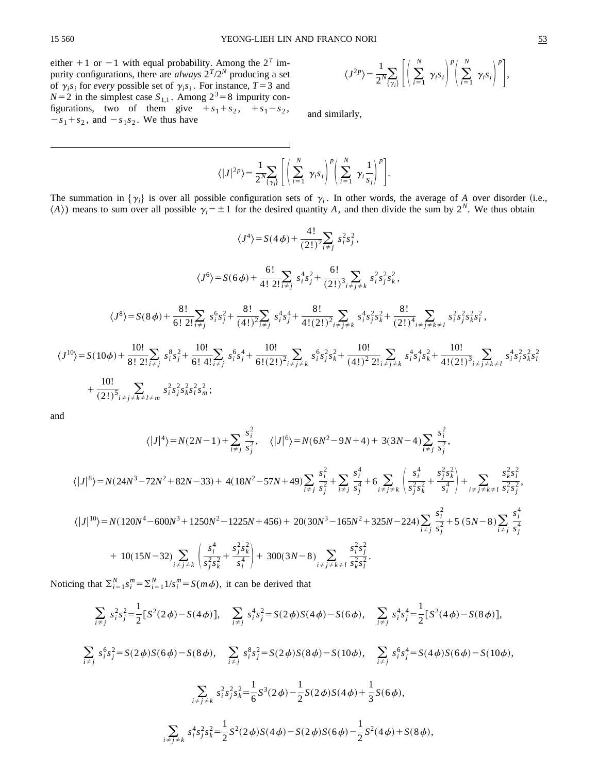either  $+1$  or  $-1$  with equal probability. Among the  $2<sup>T</sup>$  impurity configurations, there are *always*  $2^T/2^N$  producing a set of  $\gamma_i s_i$  for *every* possible set of  $\gamma_i s_i$ . For instance,  $T=3$  and  $N=2$  in the simplest case  $S_{1,1}$ . Among  $2^3=8$  impurity configurations, two of them give  $+s_1+s_2$ ,  $+s_1-s_2$ ,  $-s_1+s_2$ , and  $-s_1s_2$ . We thus have

$$
\langle J^{2p}\rangle = \frac{1}{2^N \{ \gamma_i \}} \left[ \left( \sum_{i=1}^N \gamma_i s_i \right)^p \left( \sum_{i=1}^N \gamma_i s_i \right)^p \right],
$$

and similarly,

$$
\overline{\langle |J|^{2p}\rangle} = \frac{1}{2^N \sum_{\{\gamma_i\}} \left[ \left( \sum_{i=1}^N \gamma_i s_i \right)^p \left( \sum_{i=1}^N \gamma_i \frac{1}{s_i} \right)^p \right].
$$

The summation in  $\{\gamma_i\}$  is over all possible configuration sets of  $\gamma_i$ . In other words, the average of *A* over disorder (i.e.,  $\langle A \rangle$  means to sum over all possible  $\gamma_i = \pm 1$  for the desired quantity *A*, and then divide the sum by 2<sup>*N*</sup>. We thus obtain

$$
\langle J^{4} \rangle = S(4\phi) + \frac{4!}{(2!)^2} \sum_{i \neq j} s_i^2 s_j^2,
$$
  
\n
$$
\langle J^{6} \rangle = S(6\phi) + \frac{6!}{4! \ 2! \frac{1}{i \neq j}} s_i^4 s_j^2 + \frac{6!}{(2!)^3} \sum_{i \neq j \neq k} s_i^2 s_j^2 s_k^2,
$$
  
\n
$$
\langle J^{8} \rangle = S(8\phi) + \frac{8!}{6! \ 2! \frac{1}{i \neq j}} s_i^6 s_j^2 + \frac{8!}{(4!)^2} \sum_{i \neq j} s_i^4 s_j^4 + \frac{8!}{4!(2!)^2} \sum_{i \neq j \neq k} s_i^4 s_j^2 s_k^2 + \frac{8!}{(2!)^4} \sum_{i \neq j \neq k \neq l} s_i^2 s_j^2 s_k^2 s_l^2,
$$
  
\n
$$
\langle J^{10} \rangle = S(10\phi) + \frac{10!}{8! \ 2! \frac{1}{i \neq j}} s_i^8 s_j^2 + \frac{10!}{6! \ 4! \frac{1}{i \neq j}} s_i^6 s_j^4 + \frac{10!}{6!(2!)^2} \sum_{i \neq j \neq k} s_i^6 s_j^2 s_k^2 + \frac{10!}{(4!)^2} \sum_{i \neq j \neq k} s_i^4 s_j^4 s_k^2 + \frac{10!}{4!(2!)^3} \sum_{i \neq j \neq k \neq l} s_i^4 s_j^2 s_k^2 s_l^2
$$
  
\n
$$
+ \frac{10!}{(2!)^5} \sum_{i \neq j \neq k \neq l \neq m} s_i^2 s_j^2 s_k^2 s_l^2 s_m^2;
$$

and

$$
\langle |J|^4 \rangle = N(2N-1) + \sum_{i \neq j} \frac{s_i^2}{s_j^2}, \quad \langle |J|^6 \rangle = N(6N^2 - 9N + 4) + 3(3N - 4) \sum_{i \neq j} \frac{s_i^2}{s_j^2},
$$
  

$$
\langle |J|^8 \rangle = N(24N^3 - 72N^2 + 82N - 33) + 4(18N^2 - 57N + 49) \sum_{i \neq j} \frac{s_i^2}{s_j^2} + \sum_{i \neq j} \frac{s_i^4}{s_j^4} + 6 \sum_{i \neq j \neq k} \left( \frac{s_i^4}{s_j^2 s_k^2} + \frac{s_j^2 s_k^2}{s_i^4} \right) + \sum_{i \neq j \neq k \neq l} \frac{s_k^2 s_l^2}{s_i^2 s_j^2},
$$
  

$$
\langle |J|^{10} \rangle = N(120N^4 - 600N^3 + 1250N^2 - 1225N + 456) + 20(30N^3 - 165N^2 + 325N - 224) \sum_{i \neq j} \frac{s_i^2}{s_j^2} + 5 (5N - 8) \sum_{i \neq j} \frac{s_i^4}{s_j^4}
$$
  

$$
+ 10(15N - 32) \sum_{i \neq j \neq k} \left( \frac{s_i^4}{s_j^2 s_k^2} + \frac{s_j^2 s_k^2}{s_i^4} \right) + 300(3N - 8) \sum_{i \neq j \neq k \neq l} \frac{s_i^2 s_j^2}{s_k^2 s_l^2}.
$$

Noticing that  $\sum_{i=1}^{N} s_i^m = \sum_{i=1}^{N} 1/s_i^m = S(m\phi)$ , it can be derived that

$$
\sum_{i \neq j} s_i^2 s_j^2 = \frac{1}{2} [S^2(2\phi) - S(4\phi)], \quad \sum_{i \neq j} s_i^4 s_j^2 = S(2\phi)S(4\phi) - S(6\phi), \quad \sum_{i \neq j} s_i^4 s_j^4 = \frac{1}{2} [S^2(4\phi) - S(8\phi)],
$$
  

$$
\sum_{i \neq j} s_i^6 s_j^2 = S(2\phi)S(6\phi) - S(8\phi), \quad \sum_{i \neq j} s_i^8 s_j^2 = S(2\phi)S(8\phi) - S(10\phi), \quad \sum_{i \neq j} s_i^6 s_j^4 = S(4\phi)S(6\phi) - S(10\phi),
$$
  

$$
\sum_{i \neq j \neq k} s_i^2 s_j^2 s_k^2 = \frac{1}{6} S^3(2\phi) - \frac{1}{2} S(2\phi)S(4\phi) + \frac{1}{3} S(6\phi),
$$
  

$$
\sum_{i \neq j \neq k} s_i^4 s_j^2 s_k^2 = \frac{1}{2} S^2(2\phi)S(4\phi) - S(2\phi)S(6\phi) - \frac{1}{2} S^2(4\phi) + S(8\phi),
$$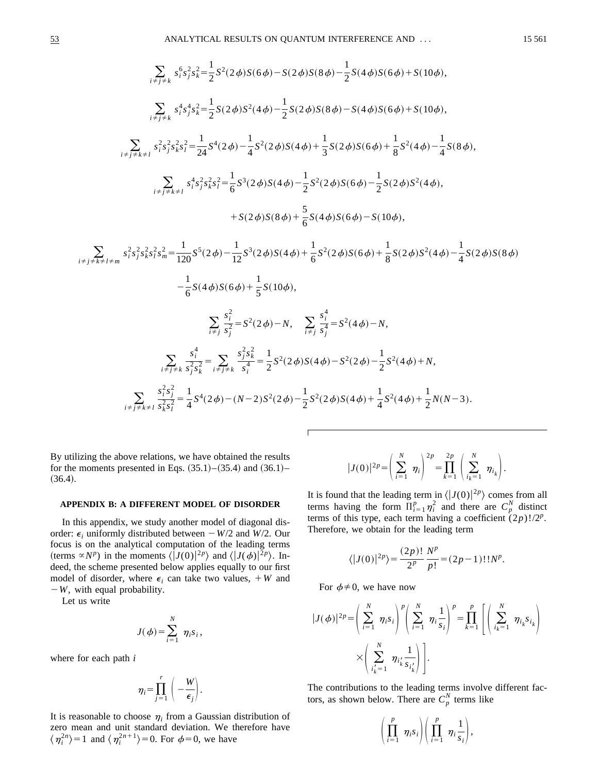$$
\sum_{i \neq j \neq k} s_i^6 s_j^2 s_k^2 = \frac{1}{2} S^2 (2 \phi) S(6 \phi) - S(2 \phi) S(8 \phi) - \frac{1}{2} S(4 \phi) S(6 \phi) + S(10 \phi),
$$
\n
$$
\sum_{i \neq j \neq k} s_i^4 s_j^4 s_k^2 = \frac{1}{2} S(2 \phi) S^2 (4 \phi) - \frac{1}{2} S(2 \phi) S(8 \phi) - S(4 \phi) S(6 \phi) + S(10 \phi),
$$
\n
$$
\sum_{i \neq j \neq k+1} s_i^2 s_j^2 s_k^2 s_l^2 = \frac{1}{24} S^4 (2 \phi) - \frac{1}{4} S^2 (2 \phi) S(4 \phi) + \frac{1}{3} S(2 \phi) S(6 \phi) + \frac{1}{8} S^2 (4 \phi) - \frac{1}{4} S(8 \phi),
$$
\n
$$
\sum_{i \neq j \neq k+1} s_i^4 s_j^2 s_k^2 s_l^2 = \frac{1}{6} S^3 (2 \phi) S(4 \phi) - \frac{1}{2} S^2 (2 \phi) S(6 \phi) - \frac{1}{2} S(2 \phi) S^2 (4 \phi),
$$
\n
$$
+ S(2 \phi) S(8 \phi) + \frac{5}{6} S(4 \phi) S(6 \phi) - S(10 \phi),
$$
\n
$$
+ S(2 \phi) S(8 \phi) + \frac{5}{6} S(4 \phi) S(6 \phi) + \frac{1}{8} S(2 \phi) S^2 (4 \phi) - \frac{1}{4} S(2 \phi) S(8 \phi)
$$
\n
$$
- \frac{1}{6} S(4 \phi) S(6 \phi) + \frac{1}{5} S(10 \phi),
$$
\n
$$
\sum_{i \neq j} \frac{s_i^2}{s_j^2} = S^2 (2 \phi) - N, \quad \sum_{i \neq j} \frac{s_i^4}{s_j^4} = S^2 (4 \phi) - N,
$$
\n
$$
\sum_{i \neq j \neq k} \frac{s_i^4}{s_j^2 s_k^2} = \sum_{i \neq j \neq k} \frac{s_i^2 s_k^2}{s_i^2 s_k^2} = \frac{1}{4} S^4 (
$$

By utilizing the above relations, we have obtained the results for the moments presented in Eqs.  $(35.1)$ – $(35.4)$  and  $(36.1)$ –  $(36.4).$ 

### **APPENDIX B: A DIFFERENT MODEL OF DISORDER**

In this appendix, we study another model of diagonal disorder:  $\epsilon_i$  uniformly distributed between  $-W/2$  and *W*/2. Our focus is on the analytical computation of the leading terms (terms  $\propto N^p$ ) in the moments  $\langle |J(0)|^{2p} \rangle$  and  $\langle |J(\phi)|^{2p} \rangle$ . Indeed, the scheme presented below applies equally to our first model of disorder, where  $\epsilon_i$  can take two values,  $+W$  and  $-W$ , with equal probability.

Let us write

$$
J(\phi) = \sum_{i=1}^N \eta_i s_i,
$$

where for each path *i*

$$
\eta_i = \prod_{j=1}^r \left(-\frac{W}{\epsilon_j}\right).
$$

It is reasonable to choose  $\eta_i$  from a Gaussian distribution of zero mean and unit standard deviation. We therefore have  $\langle \eta_i^{2n} \rangle = 1$  and  $\langle \eta_i^{2n+1} \rangle = 0$ . For  $\phi = 0$ , we have

$$
|J(0)|^{2p} = \left(\sum_{i=1}^N \eta_i\right)^{2p} = \prod_{k=1}^{2p} \left(\sum_{i_k=1}^N \eta_{i_k}\right).
$$

It is found that the leading term in  $\langle |J(0)|^{2p} \rangle$  comes from all terms having the form  $\Pi_{i=1}^p \eta_i^2$  and there are  $C_p^N$  distinct terms of this type, each term having a coefficient  $(2p)!/2<sup>p</sup>$ . Therefore, we obtain for the leading term

$$
\langle |J(0)|^{2p}\rangle = \frac{(2p)!}{2^p} \frac{N^p}{p!} = (2p-1)!!N^p.
$$

For  $\phi \neq 0$ , we have now

$$
|J(\phi)|^{2p} = \left(\sum_{i=1}^{N} \eta_i s_i\right)^p \left(\sum_{i=1}^{N} \eta_i \frac{1}{s_i}\right)^p = \prod_{k=1}^{p} \left[\left(\sum_{i_k=1}^{N} \eta_{i_k} s_{i_k}\right)\right]
$$

$$
\times \left(\sum_{i'_k=1}^{N} \eta_{i'_k} \frac{1}{s_{i'_k}}\right).
$$

The contributions to the leading terms involve different factors, as shown below. There are  $C_p^N$  terms like

$$
\left(\prod_{i=1}^p \eta_i s_i\right) \left(\prod_{i=1}^p \eta_i \frac{1}{s_i}\right),\,
$$